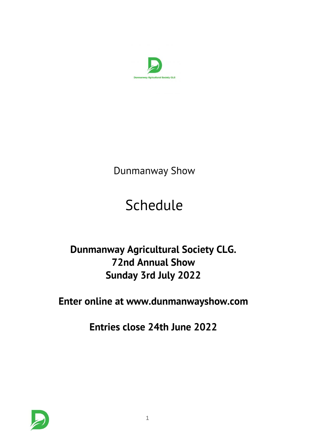

*Dunmanway Show*

# *Schedule*

# *Dunmanway Agricultural Society CLG. 72nd Annual Show Sunday 3rd July 2022*

*Enter online at www.dunmanwayshow.com*

*Entries close 24th June 2022*

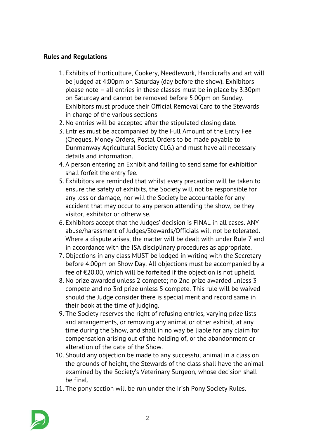# *Rules and Regulations*

- *1. Exhibits of Horticulture, Cookery, Needlework, Handicrafts and art will be judged at 4:00pm on Saturday (day before the show). Exhibitors please note – all entries in these classes must be in place by 3:30pm on Saturday and cannot be removed before 5:00pm on Sunday. Exhibitors must produce their Official Removal Card to the Stewards in charge of the various sections*
- *2. No entries will be accepted after the stipulated closing date.*
- *3. Entries must be accompanied by the Full Amount of the Entry Fee (Cheques, Money Orders, Postal Orders to be made payable to Dunmanway Agricultural Society CLG.) and must have all necessary details and information.*
- *4. A person entering an Exhibit and failing to send same for exhibition shall forfeit the entry fee.*
- *5. Exhibitors are reminded that whilst every precaution will be taken to ensure the safety of exhibits, the Society will not be responsible for any loss or damage, nor will the Society be accountable for any accident that may occur to any person attending the show, be they visitor, exhibitor or otherwise.*
- *6. Exhibitors accept that the Judges' decision is FINAL in all cases. ANY abuse/harassment of Judges/Stewards/Officials will not be tolerated. Where a dispute arises, the matter will be dealt with under Rule 7 and in accordance with the ISA disciplinary procedures as appropriate.*
- *7. Objections in any class MUST be lodged in writing with the Secretary before 4:00pm on Show Day. All objections must be accompanied by a fee of €20.00, which will be forfeited if the objection is not upheld.*
- *8. No prize awarded unless 2 compete; no 2nd prize awarded unless 3 compete and no 3rd prize unless 5 compete. This rule will be waived should the Judge consider there is special merit and record same in their book at the time of judging.*
- *9. The Society reserves the right of refusing entries, varying prize lists and arrangements, or removing any animal or other exhibit, at any time during the Show, and shall in no way be liable for any claim for compensation arising out of the holding of, or the abandonment or alteration of the date of the Show.*
- *10. Should any objection be made to any successful animal in a class on the grounds of height, the Stewards of the class shall have the animal examined by the Society's Veterinary Surgeon, whose decision shall be final.*
- *11. The pony section will be run under the Irish Pony Society Rules.*

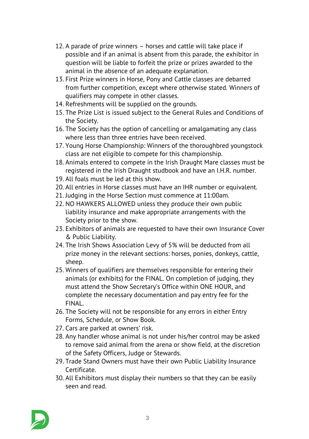- *12. A parade of prize winners horses and cattle will take place if possible and if an animal is absent from this parade, the exhibitor in question will be liable to forfeit the prize or prizes awarded to the animal in the absence of an adequate explanation.*
- *13. First Prize winners in Horse, Pony and Cattle classes are debarred from further competition, except where otherwise stated. Winners of qualifiers may compete in other classes.*
- *14. Refreshments will be supplied on the grounds.*
- *15. The Prize List is issued subject to the General Rules and Conditions of the Society.*
- *16. The Society has the option of cancelling or amalgamating any class where less than three entries have been received.*
- *17. Young Horse Championship: Winners of the thoroughbred youngstock class are not eligible to compete for this championship.*
- *18. Animals entered to compete in the Irish Draught Mare classes must be registered in the Irish Draught studbook and have an I.H.R. number.*
- *19. All foals must be led at this show.*
- *20. All entries in Horse classes must have an IHR number or equivalent.*
- *21. Judging in the Horse Section must commence at 11:00am.*
- *22. NO HAWKERS ALLOWED unless they produce their own public liability insurance and make appropriate arrangements with the Society prior to the show.*
- *23. Exhibitors of animals are requested to have their own Insurance Cover & Public Liability.*
- *24. The Irish Shows Association Levy of 5% will be deducted from all prize money in the relevant sections: horses, ponies, donkeys, cattle, sheep.*
- *25. Winners of qualifiers are themselves responsible for entering their animals (or exhibits) for the FINAL. On completion of judging, they must attend the Show Secretary's Office within ONE HOUR, and complete the necessary documentation and pay entry fee for the FINAL.*
- *26. The Society will not be responsible for any errors in either Entry Forms, Schedule, or Show Book.*
- *27. Cars are parked at owners' risk.*
- *28. Any handler whose animal is not under his/her control may be asked to remove said animal from the arena or show field, at the discretion of the Safety Officers, Judge or Stewards.*
- *29. Trade Stand Owners must have their own Public Liability Insurance Certificate.*
- *30. All Exhibitors must display their numbers so that they can be easily seen and read.*

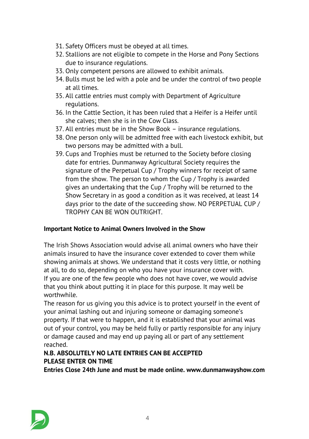- *31. Safety Officers must be obeyed at all times.*
- *32. Stallions are not eligible to compete in the Horse and Pony Sections due to insurance regulations.*
- *33. Only competent persons are allowed to exhibit animals.*
- *34. Bulls must be led with a pole and be under the control of two people at all times.*
- *35. All cattle entries must comply with Department of Agriculture regulations.*
- *36. In the Cattle Section, it has been ruled that a Heifer is a Heifer until she calves; then she is in the Cow Class.*
- *37. All entries must be in the Show Book insurance regulations.*
- *38. One person only will be admitted free with each livestock exhibit, but two persons may be admitted with a bull.*
- *39. Cups and Trophies must be returned to the Society before closing date for entries. Dunmanway Agricultural Society requires the signature of the Perpetual Cup / Trophy winners for receipt of same from the show. The person to whom the Cup / Trophy is awarded gives an undertaking that the Cup / Trophy will be returned to the Show Secretary in as good a condition as it was received, at least 14 days prior to the date of the succeeding show. NO PERPETUAL CUP / TROPHY CAN BE WON OUTRIGHT.*

# *Important Notice to Animal Owners Involved in the Show*

*The Irish Shows Association would advise all animal owners who have their animals insured to have the insurance cover extended to cover them while showing animals at shows. We understand that it costs very little, or nothing at all, to do so, depending on who you have your insurance cover with. If you are one of the few people who does not have cover, we would advise that you think about putting it in place for this purpose. It may well be worthwhile.*

*The reason for us giving you this advice is to protect yourself in the event of your animal lashing out and injuring someone or damaging someone's property. If that were to happen, and it is established that your animal was out of your control, you may be held fully or partly responsible for any injury or damage caused and may end up paying all or part of any settlement reached.*

# *N.B. ABSOLUTELY NO LATE ENTRIES CAN BE ACCEPTED PLEASE ENTER ON TIME*

*Entries Close 24th June and must be made online. www.dunmanwayshow.com*

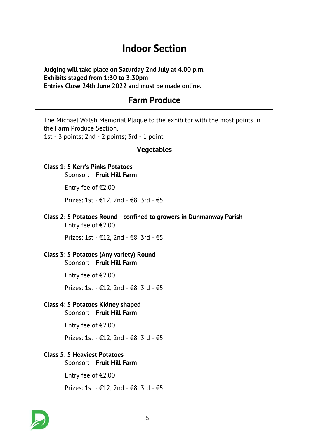# *Indoor Section*

*Judging will take place on Saturday 2nd July at 4.00 p.m. Exhibits staged from 1:30 to 3:30pm Entries Close 24th June 2022 and must be made online.*

# *Farm Produce*

*The Michael Walsh Memorial Plaque to the exhibitor with the most points in the Farm Produce Section. 1st - 3 points; 2nd - 2 points; 3rd - 1 point*

### *Vegetables*

# *Class 1: 5 Kerr's Pinks Potatoes Sponsor: Fruit Hill Farm*

*Entry fee of €2.00*

*Prizes: 1st - €12, 2nd - €8, 3rd - €5*

*Class 2: 5 Potatoes Round - confined to growers in Dunmanway Parish Entry fee of €2.00*

*Prizes: 1st - €12, 2nd - €8, 3rd - €5*

# *Class 3: 5 Potatoes (Any variety) Round*

*Sponsor: Fruit Hill Farm*

*Entry fee of €2.00*

*Prizes: 1st - €12, 2nd - €8, 3rd - €5*

### *Class 4: 5 Potatoes Kidney shaped*

*Sponsor: Fruit Hill Farm*

*Entry fee of €2.00*

*Prizes: 1st - €12, 2nd - €8, 3rd - €5*

#### *Class 5: 5 Heaviest Potatoes*

*Sponsor: Fruit Hill Farm*

*Entry fee of €2.00*

*Prizes: 1st - €12, 2nd - €8, 3rd - €5*

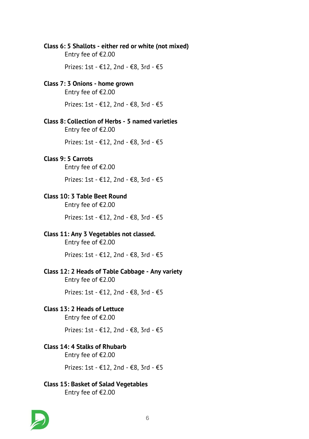#### *Class 6: 5 Shallots - either red or white (not mixed)*

*Entry fee of €2.00*

*Prizes: 1st - €12, 2nd - €8, 3rd - €5*

#### *Class 7: 3 Onions - home grown*

*Entry fee of €2.00*

*Prizes: 1st - €12, 2nd - €8, 3rd - €5*

# *Class 8: Collection of Herbs - 5 named varieties*

*Entry fee of €2.00*

*Prizes: 1st - €12, 2nd - €8, 3rd - €5*

#### *Class 9: 5 Carrots*

*Entry fee of €2.00*

*Prizes: 1st - €12, 2nd - €8, 3rd - €5*

### *Class 10: 3 Table Beet Round*

*Entry fee of €2.00*

*Prizes: 1st - €12, 2nd - €8, 3rd - €5*

### *Class 11: Any 3 Vegetables not classed.*

*Entry fee of €2.00*

*Prizes: 1st - €12, 2nd - €8, 3rd - €5*

#### *Class 12: 2 Heads of Table Cabbage - Any variety*

*Entry fee of €2.00*

*Prizes: 1st - €12, 2nd - €8, 3rd - €5*

#### *Class 13: 2 Heads of Lettuce*

*Entry fee of €2.00*

*Prizes: 1st - €12, 2nd - €8, 3rd - €5*

#### *Class 14: 4 Stalks of Rhubarb*

*Entry fee of €2.00*

*Prizes: 1st - €12, 2nd - €8, 3rd - €5*

# *Class 15: Basket of Salad Vegetables*

*Entry fee of €2.00*

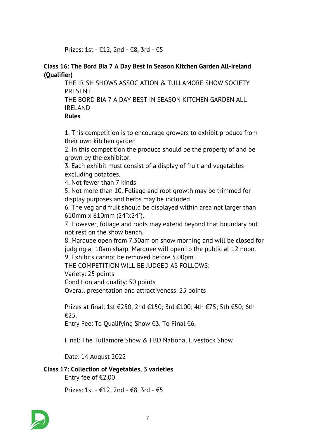*Prizes: 1st - €12, 2nd - €8, 3rd - €5*

### *Class 16: The Bord Bia 7 A Day Best In Season Kitchen Garden All-Ireland (Qualifier)*

*THE IRISH SHOWS ASSOCIATION & TULLAMORE SHOW SOCIETY PRESENT*

*THE BORD BIA 7 A DAY BEST IN SEASON KITCHEN GARDEN ALL IRELAND*

### *Rules*

*1. This competition is to encourage growers to exhibit produce from their own kitchen garden*

*2. In this competition the produce should be the property of and be grown by the exhibitor.*

*3. Each exhibit must consist of a display of fruit and vegetables excluding potatoes.*

*4. Not fewer than 7 kinds*

*5. Not more than 10. Foliage and root growth may be trimmed for display purposes and herbs may be included*

*6. The veg and fruit should be displayed within area not larger than 610mm x 610mm (24"x24").*

*7. However, foliage and roots may extend beyond that boundary but not rest on the show bench.*

*8. Marquee open from 7.30am on show morning and will be closed for judging at 10am sharp. Marquee will open to the public at 12 noon. 9. Exhibits cannot be removed before 5.00pm.*

*THE COMPETITION WILL BE JUDGED AS FOLLOWS:*

*Variety: 25 points*

*Condition and quality: 50 points*

*Overall presentation and attractiveness: 25 points*

*Prizes at final: 1st €250, 2nd €150; 3rd €100; 4th €75; 5th €50; 6th €25.*

*Entry Fee: To Qualifying Show €3. To Final €6.*

*Final: The Tullamore Show & FBD National Livestock Show*

*Date: 14 August 2022*

# *Class 17: Collection of Vegetables, 3 varieties*

*Entry fee of €2.00*

*Prizes: 1st - €12, 2nd - €8, 3rd - €5*

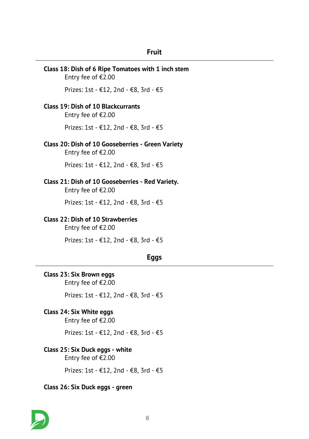# *Fruit*

| Class 18: Dish of 6 Ripe Tomatoes with 1 inch stem<br>Entry fee of €2.00   |  |  |  |
|----------------------------------------------------------------------------|--|--|--|
| Prizes: 1st - €12, 2nd - €8, 3rd - €5                                      |  |  |  |
| <b>Class 19: Dish of 10 Blackcurrants</b><br>Entry fee of €2.00            |  |  |  |
| Prizes: 1st - €12, 2nd - €8, 3rd - €5                                      |  |  |  |
| Class 20: Dish of 10 Gooseberries - Green Variety<br>Entry fee of $E$ 2.00 |  |  |  |
| Prizes: 1st - €12, 2nd - €8, 3rd - €5                                      |  |  |  |
| Class 21: Dish of 10 Gooseberries - Red Variety.<br>Entry fee of €2.00     |  |  |  |
| Prizes: 1st - €12, 2nd - €8, 3rd - €5                                      |  |  |  |
| <b>Class 22: Dish of 10 Strawberries</b><br>Entry fee of €2.00             |  |  |  |
| Prizes: 1st - €12, 2nd - €8, 3rd - €5                                      |  |  |  |
| Eggs                                                                       |  |  |  |
| Class 23: Six Brown eggs                                                   |  |  |  |
| Entry fee of €2.00                                                         |  |  |  |
| Prizes: 1st - €12, 2nd - €8, 3rd - €5                                      |  |  |  |
| Class 24: Six White eggs<br>Entry fee of €2.00                             |  |  |  |
| Prizes: 1st - €12, 2nd - €8, 3rd - €5                                      |  |  |  |
|                                                                            |  |  |  |

*Prizes: 1st - €12, 2nd - €8, 3rd - €5*

# *Class 26: Six Duck eggs - green*

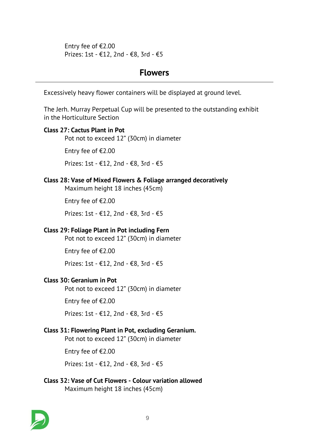*Entry fee of €2.00 Prizes: 1st - €12, 2nd - €8, 3rd - €5*

# *Flowers*

*Excessively heavy flower containers will be displayed at ground level.*

*The Jerh. Murray Perpetual Cup will be presented to the outstanding exhibit in the Horticulture Section*

# *Class 27: Cactus Plant in Pot*

*Pot not to exceed 12" (30cm) in diameter*

*Entry fee of €2.00*

*Prizes: 1st - €12, 2nd - €8, 3rd - €5*

# *Class 28: Vase of Mixed Flowers & Foliage arranged decoratively*

*Maximum height 18 inches (45cm)*

*Entry fee of €2.00*

*Prizes: 1st - €12, 2nd - €8, 3rd - €5*

# *Class 29: Foliage Plant in Pot including Fern*

*Pot not to exceed 12" (30cm) in diameter*

*Entry fee of €2.00*

*Prizes: 1st - €12, 2nd - €8, 3rd - €5*

# *Class 30: Geranium in Pot*

*Pot not to exceed 12" (30cm) in diameter*

*Entry fee of €2.00*

*Prizes: 1st - €12, 2nd - €8, 3rd - €5*

# *Class 31: Flowering Plant in Pot, excluding Geranium.*

*Pot not to exceed 12" (30cm) in diameter*

*Entry fee of €2.00*

*Prizes: 1st - €12, 2nd - €8, 3rd - €5*

# *Class 32: Vase of Cut Flowers - Colour variation allowed Maximum height 18 inches (45cm)*

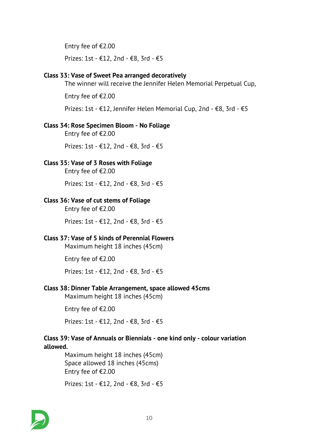*Entry fee of €2.00*

*Prizes: 1st - €12, 2nd - €8, 3rd - €5*

#### *Class 33: Vase of Sweet Pea arranged decoratively*

*The winner will receive the Jennifer Helen Memorial Perpetual Cup,*

*Entry fee of €2.00*

*Prizes: 1st - €12, Jennifer Helen Memorial Cup, 2nd - €8, 3rd - €5*

### *Class 34: Rose Specimen Bloom - No Foliage*

*Entry fee of €2.00*

*Prizes: 1st - €12, 2nd - €8, 3rd - €5*

# *Class 35: Vase of 3 Roses with Foliage*

*Entry fee of €2.00*

*Prizes: 1st - €12, 2nd - €8, 3rd - €5*

# *Class 36: Vase of cut stems of Foliage*

*Entry fee of €2.00*

*Prizes: 1st - €12, 2nd - €8, 3rd - €5*

# *Class 37: Vase of 5 kinds of Perennial Flowers*

*Maximum height 18 inches (45cm)*

*Entry fee of €2.00*

*Prizes: 1st - €12, 2nd - €8, 3rd - €5*

# *Class 38: Dinner Table Arrangement, space allowed 45cms*

*Maximum height 18 inches (45cm)*

*Entry fee of €2.00*

*Prizes: 1st - €12, 2nd - €8, 3rd - €5*

# *Class 39: Vase of Annuals or Biennials - one kind only - colour variation allowed.*

*Maximum height 18 inches (45cm) Space allowed 18 inches (45cms) Entry fee of €2.00*

*Prizes: 1st - €12, 2nd - €8, 3rd - €5*

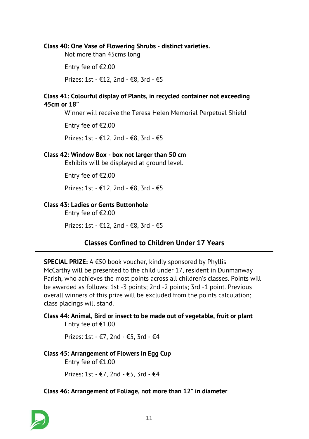#### *Class 40: One Vase of Flowering Shrubs - distinct varieties.*

*Not more than 45cms long*

*Entry fee of €2.00*

*Prizes: 1st - €12, 2nd - €8, 3rd - €5*

### *Class 41: Colourful display of Plants, in recycled container not exceeding 45cm or 18"*

*Winner will receive the Teresa Helen Memorial Perpetual Shield*

*Entry fee of €2.00*

*Prizes: 1st - €12, 2nd - €8, 3rd - €5*

#### *Class 42: Window Box - box not larger than 50 cm*

*Exhibits will be displayed at ground level.*

*Entry fee of €2.00*

*Prizes: 1st - €12, 2nd - €8, 3rd - €5*

# *Class 43: Ladies or Gents Buttonhole*

*Entry fee of €2.00*

*Prizes: 1st - €12, 2nd - €8, 3rd - €5*

# *Classes Confined to Children Under 17 Years*

*SPECIAL PRIZE: A €50 book voucher, kindly sponsored by Phyllis McCarthy will be presented to the child under 17, resident in Dunmanway Parish, who achieves the most points across all children's classes. Points will be awarded as follows: 1st -3 points; 2nd -2 points; 3rd -1 point. Previous overall winners of this prize will be excluded from the points calculation; class placings will stand.*

### *Class 44: Animal, Bird or insect to be made out of vegetable, fruit or plant Entry fee of €1.00*

*Prizes: 1st - €7, 2nd - €5, 3rd - €4*

#### *Class 45: Arrangement of Flowers in Egg Cup*

*Entry fee of €1.00*

*Prizes: 1st - €7, 2nd - €5, 3rd - €4*

#### *Class 46: Arrangement of Foliage, not more than 12" in diameter*

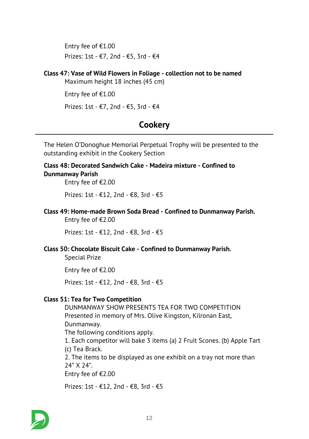*Entry fee of €1.00 Prizes: 1st - €7, 2nd - €5, 3rd - €4*

# *Class 47: Vase of Wild Flowers in Foliage - collection not to be named*

*Maximum height 18 inches (45 cm)*

*Entry fee of €1.00*

*Prizes: 1st - €7, 2nd - €5, 3rd - €4*

# *Cookery*

*The Helen O'Donoghue Memorial Perpetual Trophy will be presented to the outstanding exhibit in the Cookery Section*

# *Class 48: Decorated Sandwich Cake - Madeira mixture - Confined to Dunmanway Parish*

*Entry fee of €2.00*

*Prizes: 1st - €12, 2nd - €8, 3rd - €5*

*Class 49: Home-made Brown Soda Bread - Confined to Dunmanway Parish.*

*Entry fee of €2.00*

*Prizes: 1st - €12, 2nd - €8, 3rd - €5*

# *Class 50: Chocolate Biscuit Cake - Confined to Dunmanway Parish.*

*Special Prize*

*Entry fee of €2.00*

*Prizes: 1st - €12, 2nd - €8, 3rd - €5*

#### *Class 51: Tea for Two Competition*

*DUNMANWAY SHOW PRESENTS TEA FOR TWO COMPETITION Presented in memory of Mrs. Olive Kingston, Kilronan East, Dunmanway. The following conditions apply. 1. Each competitor will bake 3 items (a) 2 Fruit Scones. (b) Apple Tart (c) Tea Brack. 2. The items to be displayed as one exhibit on a tray not more than 24" X 24". Entry fee of €2.00*

*Prizes: 1st - €12, 2nd - €8, 3rd - €5*

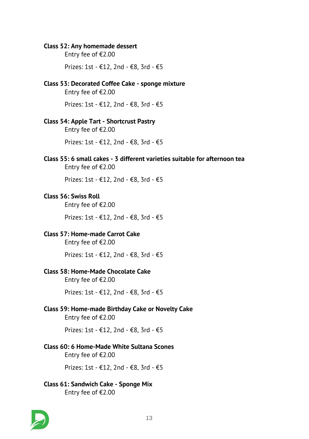#### *Class 52: Any homemade dessert*

*Entry fee of €2.00*

*Prizes: 1st - €12, 2nd - €8, 3rd - €5*

#### *Class 53: Decorated Coffee Cake - sponge mixture*

*Entry fee of €2.00*

*Prizes: 1st - €12, 2nd - €8, 3rd - €5*

#### *Class 54: Apple Tart - Shortcrust Pastry*

*Entry fee of €2.00*

*Prizes: 1st - €12, 2nd - €8, 3rd - €5*

*Class 55: 6 small cakes - 3 different varieties suitable for afternoon tea Entry fee of €2.00*

*Prizes: 1st - €12, 2nd - €8, 3rd - €5*

#### *Class 56: Swiss Roll*

*Entry fee of €2.00*

*Prizes: 1st - €12, 2nd - €8, 3rd - €5*

### *Class 57: Home-made Carrot Cake*

*Entry fee of €2.00*

*Prizes: 1st - €12, 2nd - €8, 3rd - €5*

#### *Class 58: Home-Made Chocolate Cake*

*Entry fee of €2.00*

*Prizes: 1st - €12, 2nd - €8, 3rd - €5*

# *Class 59: Home-made Birthday Cake or Novelty Cake*

*Entry fee of €2.00*

*Prizes: 1st - €12, 2nd - €8, 3rd - €5*

#### *Class 60: 6 Home-Made White Sultana Scones*

*Entry fee of €2.00*

*Prizes: 1st - €12, 2nd - €8, 3rd - €5*

# *Class 61: Sandwich Cake - Sponge Mix*

*Entry fee of €2.00*

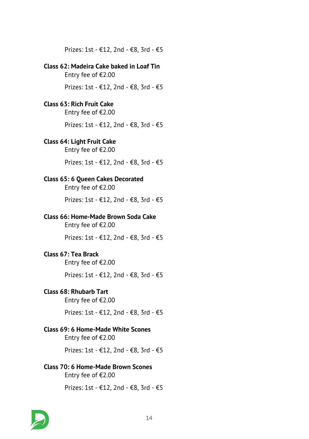*Prizes: 1st - €12, 2nd - €8, 3rd - €5*

# *Class 62: Madeira Cake baked in Loaf Tin*

*Entry fee of €2.00*

*Prizes: 1st - €12, 2nd - €8, 3rd - €5*

# *Class 63: Rich Fruit Cake*

*Entry fee of €2.00*

*Prizes: 1st - €12, 2nd - €8, 3rd - €5*

# *Class 64: Light Fruit Cake*

*Entry fee of €2.00*

*Prizes: 1st - €12, 2nd - €8, 3rd - €5*

# *Class 65: 6 Queen Cakes Decorated*

*Entry fee of €2.00*

*Prizes: 1st - €12, 2nd - €8, 3rd - €5*

# *Class 66: Home-Made Brown Soda Cake*

*Entry fee of €2.00*

*Prizes: 1st - €12, 2nd - €8, 3rd - €5*

# *Class 67: Tea Brack*

*Entry fee of €2.00*

*Prizes: 1st - €12, 2nd - €8, 3rd - €5*

# *Class 68: Rhubarb Tart*

*Entry fee of €2.00*

*Prizes: 1st - €12, 2nd - €8, 3rd - €5*

# *Class 69: 6 Home-Made White Scones*

*Entry fee of €2.00*

*Prizes: 1st - €12, 2nd - €8, 3rd - €5*

# *Class 70: 6 Home-Made Brown Scones*

*Entry fee of €2.00*

*Prizes: 1st - €12, 2nd - €8, 3rd - €5*

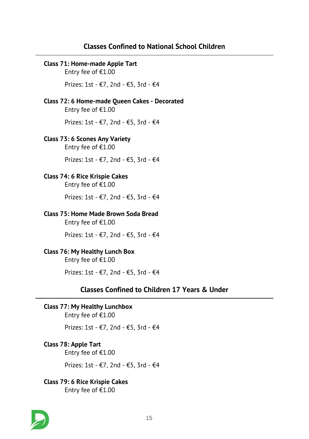# *Classes Confined to National School Children*

# *Class 71: Home-made Apple Tart Entry fee of €1.00 Prizes: 1st - €7, 2nd - €5, 3rd - €4 Class 72: 6 Home-made Queen Cakes - Decorated Entry fee of €1.00 Prizes: 1st - €7, 2nd - €5, 3rd - €4 Class 73: 6 Scones Any Variety Entry fee of €1.00 Prizes: 1st - €7, 2nd - €5, 3rd - €4 Class 74: 6 Rice Krispie Cakes Entry fee of €1.00 Prizes: 1st - €7, 2nd - €5, 3rd - €4 Class 75: Home Made Brown Soda Bread Entry fee of €1.00 Prizes: 1st - €7, 2nd - €5, 3rd - €4 Class 76: My Healthy Lunch Box Entry fee of €1.00 Prizes: 1st - €7, 2nd - €5, 3rd - €4 Classes Confined to Children 17 Years & Under Class 77: My Healthy Lunchbox Entry fee of €1.00*

*Prizes: 1st - €7, 2nd - €5, 3rd - €4*

# *Class 78: Apple Tart*

*Entry fee of €1.00*

*Prizes: 1st - €7, 2nd - €5, 3rd - €4*

# *Class 79: 6 Rice Krispie Cakes*

*Entry fee of €1.00*

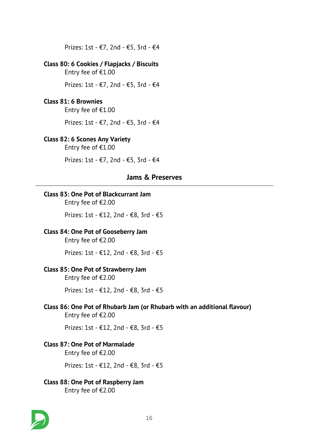*Prizes: 1st - €7, 2nd - €5, 3rd - €4*

# *Class 80: 6 Cookies / Flapjacks / Biscuits*

*Entry fee of €1.00*

*Prizes: 1st - €7, 2nd - €5, 3rd - €4*

### *Class 81: 6 Brownies*

*Entry fee of €1.00*

*Prizes: 1st - €7, 2nd - €5, 3rd - €4*

#### *Class 82: 6 Scones Any Variety*

*Entry fee of €1.00*

*Prizes: 1st - €7, 2nd - €5, 3rd - €4*

# *Jams & Preserves*

#### *Class 83: One Pot of Blackcurrant Jam*

*Entry fee of €2.00*

*Prizes: 1st - €12, 2nd - €8, 3rd - €5*

#### *Class 84: One Pot of Gooseberry Jam*

*Entry fee of €2.00*

*Prizes: 1st - €12, 2nd - €8, 3rd - €5*

#### *Class 85: One Pot of Strawberry Jam*

*Entry fee of €2.00*

*Prizes: 1st - €12, 2nd - €8, 3rd - €5*

#### *Class 86: One Pot of Rhubarb Jam (or Rhubarb with an additional flavour) Entry fee of €2.00*

*Prizes: 1st - €12, 2nd - €8, 3rd - €5*

#### *Class 87: One Pot of Marmalade*

*Entry fee of €2.00*

*Prizes: 1st - €12, 2nd - €8, 3rd - €5*

# *Class 88: One Pot of Raspberry Jam*

*Entry fee of €2.00*

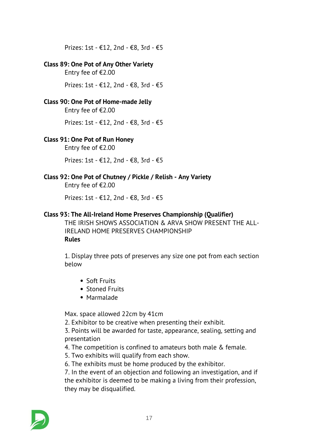*Prizes: 1st - €12, 2nd - €8, 3rd - €5*

#### *Class 89: One Pot of Any Other Variety*

*Entry fee of €2.00*

*Prizes: 1st - €12, 2nd - €8, 3rd - €5*

# *Class 90: One Pot of Home-made Jelly*

*Entry fee of €2.00*

*Prizes: 1st - €12, 2nd - €8, 3rd - €5*

# *Class 91: One Pot of Run Honey*

*Entry fee of €2.00*

*Prizes: 1st - €12, 2nd - €8, 3rd - €5*

# *Class 92: One Pot of Chutney / Pickle / Relish - Any Variety*

*Entry fee of €2.00*

*Prizes: 1st - €12, 2nd - €8, 3rd - €5*

### *Class 93: The All-Ireland Home Preserves Championship (Qualifier)*

*THE IRISH SHOWS ASSOCIATION & ARVA SHOW PRESENT THE ALL-IRELAND HOME PRESERVES CHAMPIONSHIP Rules*

*1. Display three pots of preserves any size one pot from each section below*

- *Soft Fruits*
- *Stoned Fruits*
- *Marmalade*

*Max. space allowed 22cm by 41cm*

*2. Exhibitor to be creative when presenting their exhibit.*

*3. Points will be awarded for taste, appearance, sealing, setting and presentation*

*4. The competition is confined to amateurs both male & female.*

*5. Two exhibits will qualify from each show.*

*6. The exhibits must be home produced by the exhibitor.*

*7. In the event of an objection and following an investigation, and if the exhibitor is deemed to be making a living from their profession, they may be disqualified.*

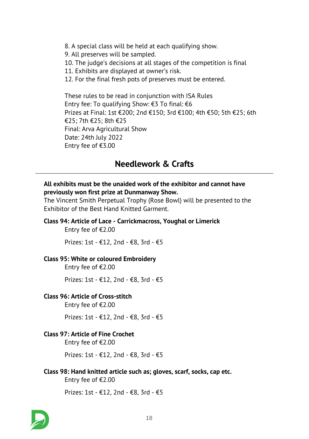*8. A special class will be held at each qualifying show. 9. All preserves will be sampled. 10. The judge's decisions at all stages of the competition is final 11. Exhibits are displayed at owner's risk. 12. For the final fresh pots of preserves must be entered. These rules to be read in conjunction with ISA Rules*

*Entry fee: To qualifying Show: €3 To final: €6 Prizes at Final: 1st €200; 2nd €150; 3rd €100; 4th €50; 5th €25; 6th €25; 7th €25; 8th €25 Final: Arva Agricultural Show Date: 24th July 2022 Entry fee of €3.00*

# *Needlework & Crafts*

#### *All exhibits must be the unaided work of the exhibitor and cannot have previously won first prize at Dunmanway Show.*

*The Vincent Smith Perpetual Trophy (Rose Bowl) will be presented to the Exhibitor of the Best Hand Knitted Garment.*

#### *Class 94: Article of Lace - Carrickmacross, Youghal or Limerick*

*Entry fee of €2.00*

*Prizes: 1st - €12, 2nd - €8, 3rd - €5*

#### *Class 95: White or coloured Embroidery*

*Entry fee of €2.00*

*Prizes: 1st - €12, 2nd - €8, 3rd - €5*

#### *Class 96: Article of Cross-stitch*

*Entry fee of €2.00*

*Prizes: 1st - €12, 2nd - €8, 3rd - €5*

### *Class 97: Article of Fine Crochet*

*Entry fee of €2.00*

*Prizes: 1st - €12, 2nd - €8, 3rd - €5*

*Class 98: Hand knitted article such as; gloves, scarf, socks, cap etc. Entry fee of €2.00*

*Prizes: 1st - €12, 2nd - €8, 3rd - €5*

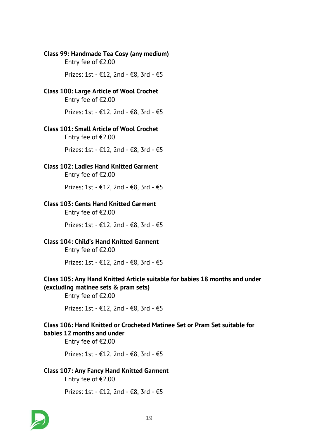#### *Class 99: Handmade Tea Cosy (any medium) Entry fee of €2.00*

*Prizes: 1st - €12, 2nd - €8, 3rd - €5*

# *Class 100: Large Article of Wool Crochet*

*Entry fee of €2.00*

*Prizes: 1st - €12, 2nd - €8, 3rd - €5*

#### *Class 101: Small Article of Wool Crochet*

*Entry fee of €2.00*

*Prizes: 1st - €12, 2nd - €8, 3rd - €5*

# *Class 102: Ladies Hand Knitted Garment*

*Entry fee of €2.00*

*Prizes: 1st - €12, 2nd - €8, 3rd - €5*

#### *Class 103: Gents Hand Knitted Garment*

*Entry fee of €2.00*

*Prizes: 1st - €12, 2nd - €8, 3rd - €5*

# *Class 104: Child's Hand Knitted Garment*

*Entry fee of €2.00*

*Prizes: 1st - €12, 2nd - €8, 3rd - €5*

#### *Class 105: Any Hand Knitted Article suitable for babies 18 months and under (excluding matinee sets & pram sets)*

*Entry fee of €2.00*

*Prizes: 1st - €12, 2nd - €8, 3rd - €5*

#### *Class 106: Hand Knitted or Crocheted Matinee Set or Pram Set suitable for babies 12 months and under*

*Entry fee of €2.00*

*Prizes: 1st - €12, 2nd - €8, 3rd - €5*

# *Class 107: Any Fancy Hand Knitted Garment*

*Entry fee of €2.00*

*Prizes: 1st - €12, 2nd - €8, 3rd - €5*

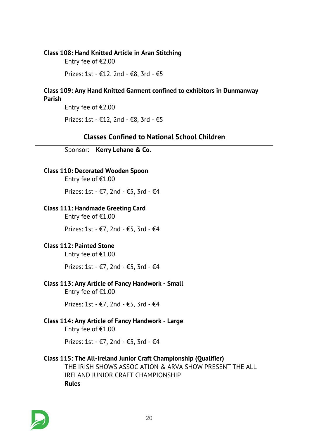#### *Class 108: Hand Knitted Article in Aran Stitching*

*Entry fee of €2.00*

*Prizes: 1st - €12, 2nd - €8, 3rd - €5*

#### *Class 109: Any Hand Knitted Garment confined to exhibitors in Dunmanway Parish*

*Entry fee of €2.00*

*Prizes: 1st - €12, 2nd - €8, 3rd - €5*

# *Classes Confined to National School Children*

*Sponsor: Kerry Lehane & Co.*

# *Class 110: Decorated Wooden Spoon*

*Entry fee of €1.00*

*Prizes: 1st - €7, 2nd - €5, 3rd - €4*

### *Class 111: Handmade Greeting Card*

*Entry fee of €1.00*

*Prizes: 1st - €7, 2nd - €5, 3rd - €4*

# *Class 112: Painted Stone*

*Entry fee of €1.00*

*Prizes: 1st - €7, 2nd - €5, 3rd - €4*

# *Class 113: Any Article of Fancy Handwork - Small*

*Entry fee of €1.00*

*Prizes: 1st - €7, 2nd - €5, 3rd - €4*

#### *Class 114: Any Article of Fancy Handwork - Large Entry fee of €1.00*

*Prizes: 1st - €7, 2nd - €5, 3rd - €4*

# *Class 115: The All-Ireland Junior Craft Championship (Qualifier)*

*THE IRISH SHOWS ASSOCIATION & ARVA SHOW PRESENT THE ALL IRELAND JUNIOR CRAFT CHAMPIONSHIP Rules*

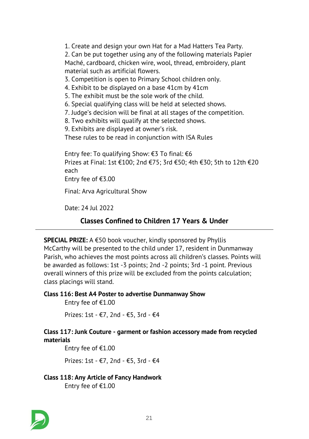*1. Create and design your own Hat for a Mad Hatters Tea Party. 2. Can be put together using any of the following materials Papier Maché, cardboard, chicken wire, wool, thread, embroidery, plant material such as artificial flowers. 3. Competition is open to Primary School children only. 4. Exhibit to be displayed on a base 41cm by 41cm 5. The exhibit must be the sole work of the child. 6. Special qualifying class will be held at selected shows. 7. Judge's decision will be final at all stages of the competition. 8. Two exhibits will qualify at the selected shows. 9. Exhibits are displayed at owner's risk. These rules to be read in conjunction with ISA Rules Entry fee: To qualifying Show: €3 To final: €6 Prizes at Final: 1st €100; 2nd €75; 3rd €50; 4th €30; 5th to 12th €20 each Entry fee of €3.00*

*Final: Arva Agricultural Show*

*Date: 24 Jul 2022*

# *Classes Confined to Children 17 Years & Under*

*SPECIAL PRIZE: A €50 book voucher, kindly sponsored by Phyllis McCarthy will be presented to the child under 17, resident in Dunmanway Parish, who achieves the most points across all children's classes. Points will be awarded as follows: 1st -3 points; 2nd -2 points; 3rd -1 point. Previous overall winners of this prize will be excluded from the points calculation; class placings will stand.*

#### *Class 116: Best A4 Poster to advertise Dunmanway Show*

*Entry fee of €1.00*

*Prizes: 1st - €7, 2nd - €5, 3rd - €4*

# *Class 117: Junk Couture - garment or fashion accessory made from recycled materials*

*Entry fee of €1.00*

*Prizes: 1st - €7, 2nd - €5, 3rd - €4*

*Class 118: Any Article of Fancy Handwork Entry fee of €1.00*

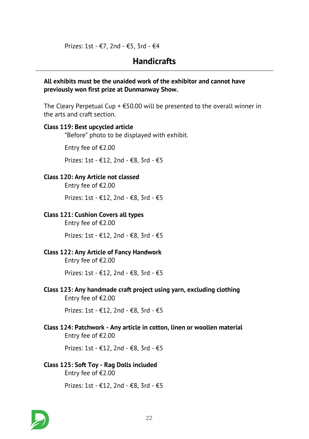*Prizes: 1st - €7, 2nd - €5, 3rd - €4*

# *Handicrafts*

*All exhibits must be the unaided work of the exhibitor and cannot have previously won first prize at Dunmanway Show.*

*The Cleary Perpetual Cup + €50.00 will be presented to the overall winner in the arts and craft section.*

#### *Class 119: Best upcycled article*

*"Before" photo to be displayed with exhibit.*

*Entry fee of €2.00*

*Prizes: 1st - €12, 2nd - €8, 3rd - €5*

### *Class 120: Any Article not classed*

*Entry fee of €2.00*

*Prizes: 1st - €12, 2nd - €8, 3rd - €5*

#### *Class 121: Cushion Covers all types*

*Entry fee of €2.00*

*Prizes: 1st - €12, 2nd - €8, 3rd - €5*

# *Class 122: Any Article of Fancy Handwork*

*Entry fee of €2.00*

*Prizes: 1st - €12, 2nd - €8, 3rd - €5*

*Class 123: Any handmade craft project using yarn, excluding clothing Entry fee of €2.00*

*Prizes: 1st - €12, 2nd - €8, 3rd - €5*

*Class 124: Patchwork - Any article in cotton, linen or woollen material Entry fee of €2.00*

*Prizes: 1st - €12, 2nd - €8, 3rd - €5*

# *Class 125: Soft Toy - Rag Dolls included Entry fee of €2.00*

*Prizes: 1st - €12, 2nd - €8, 3rd - €5*

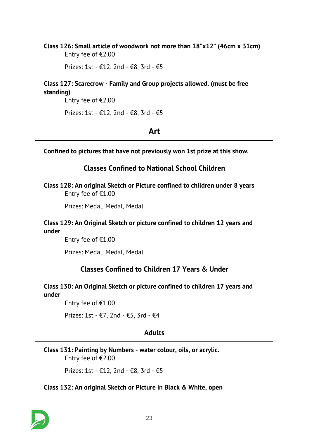### *Class 126: Small article of woodwork not more than 18"x12" (46cm x 31cm) Entry fee of €2.00*

*Prizes: 1st - €12, 2nd - €8, 3rd - €5*

# *Class 127: Scarecrow - Family and Group projects allowed. (must be free standing)*

*Entry fee of €2.00*

*Prizes: 1st - €12, 2nd - €8, 3rd - €5*

# *Art*

*Confined to pictures that have not previously won 1st prize at this show.*

*Classes Confined to National School Children*

*Class 128: An original Sketch or Picture confined to children under 8 years Entry fee of €1.00*

*Prizes: Medal, Medal, Medal*

#### *Class 129: An Original Sketch or picture confined to children 12 years and under*

*Entry fee of €1.00*

*Prizes: Medal, Medal, Medal*

# *Classes Confined to Children 17 Years & Under*

#### *Class 130: An Original Sketch or picture confined to children 17 years and under*

*Entry fee of €1.00*

*Prizes: 1st - €7, 2nd - €5, 3rd - €4*

# *Adults*

*Class 131: Painting by Numbers - water colour, oils, or acrylic. Entry fee of €2.00*

*Prizes: 1st - €12, 2nd - €8, 3rd - €5*

#### *Class 132: An original Sketch or Picture in Black & White, open*

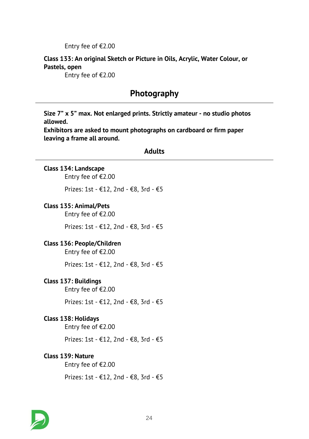*Entry fee of €2.00*

# *Class 133: An original Sketch or Picture in Oils, Acrylic, Water Colour, or Pastels, open*

*Entry fee of €2.00*

# *Photography*

*Size 7" x 5" max. Not enlarged prints. Strictly amateur - no studio photos allowed.*

*Exhibitors are asked to mount photographs on cardboard or firm paper leaving a frame all around.*

#### *Adults*

#### *Class 134: Landscape*

*Entry fee of €2.00*

*Prizes: 1st - €12, 2nd - €8, 3rd - €5*

#### *Class 135: Animal/Pets*

*Entry fee of €2.00*

*Prizes: 1st - €12, 2nd - €8, 3rd - €5*

# *Class 136: People/Children*

*Entry fee of €2.00*

*Prizes: 1st - €12, 2nd - €8, 3rd - €5*

#### *Class 137: Buildings*

*Entry fee of €2.00*

*Prizes: 1st - €12, 2nd - €8, 3rd - €5*

#### *Class 138: Holidays*

*Entry fee of €2.00*

*Prizes: 1st - €12, 2nd - €8, 3rd - €5*

#### *Class 139: Nature*

*Entry fee of €2.00*

*Prizes: 1st - €12, 2nd - €8, 3rd - €5*

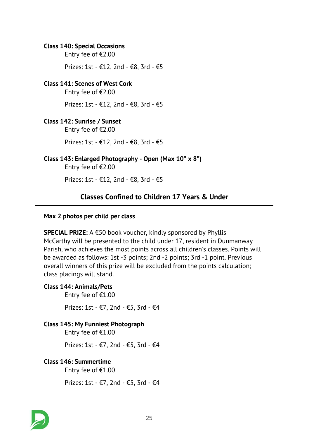#### *Class 140: Special Occasions*

*Entry fee of €2.00*

*Prizes: 1st - €12, 2nd - €8, 3rd - €5*

#### *Class 141: Scenes of West Cork*

*Entry fee of €2.00*

*Prizes: 1st - €12, 2nd - €8, 3rd - €5*

#### *Class 142: Sunrise / Sunset*

*Entry fee of €2.00*

*Prizes: 1st - €12, 2nd - €8, 3rd - €5*

### *Class 143: Enlarged Photography - Open (Max 10" x 8")*

*Entry fee of €2.00*

*Prizes: 1st - €12, 2nd - €8, 3rd - €5*

# *Classes Confined to Children 17 Years & Under*

#### *Max 2 photos per child per class*

*SPECIAL PRIZE: A €50 book voucher, kindly sponsored by Phyllis McCarthy will be presented to the child under 17, resident in Dunmanway Parish, who achieves the most points across all children's classes. Points will be awarded as follows: 1st -3 points; 2nd -2 points; 3rd -1 point. Previous overall winners of this prize will be excluded from the points calculation; class placings will stand.*

#### *Class 144: Animals/Pets*

*Entry fee of €1.00*

*Prizes: 1st - €7, 2nd - €5, 3rd - €4*

#### *Class 145: My Funniest Photograph*

*Entry fee of €1.00*

*Prizes: 1st - €7, 2nd - €5, 3rd - €4*

#### *Class 146: Summertime*

*Entry fee of €1.00*

*Prizes: 1st - €7, 2nd - €5, 3rd - €4*

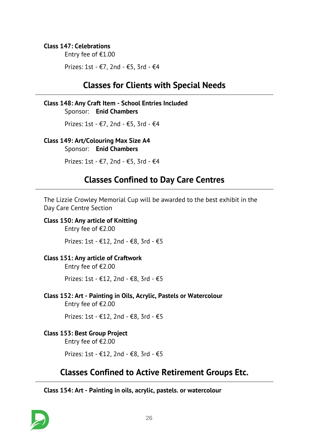### *Class 147: Celebrations*

*Entry fee of €1.00*

*Prizes: 1st - €7, 2nd - €5, 3rd - €4*

# *Classes for Clients with Special Needs*

# *Class 148: Any Craft Item - School Entries Included*

*Sponsor: Enid Chambers*

*Prizes: 1st - €7, 2nd - €5, 3rd - €4*

### *Class 149: Art/Colouring Max Size A4*

*Sponsor: Enid Chambers*

*Prizes: 1st - €7, 2nd - €5, 3rd - €4*

# *Classes Confined to Day Care Centres*

*The Lizzie Crowley Memorial Cup will be awarded to the best exhibit in the Day Care Centre Section*

### *Class 150: Any article of Knitting*

*Entry fee of €2.00*

*Prizes: 1st - €12, 2nd - €8, 3rd - €5*

#### *Class 151: Any article of Craftwork*

*Entry fee of €2.00*

*Prizes: 1st - €12, 2nd - €8, 3rd - €5*

*Class 152: Art - Painting in Oils, Acrylic, Pastels or Watercolour Entry fee of €2.00*

*Prizes: 1st - €12, 2nd - €8, 3rd - €5*

# *Class 153: Best Group Project*

*Entry fee of €2.00*

*Prizes: 1st - €12, 2nd - €8, 3rd - €5*

# *Classes Confined to Active Retirement Groups Etc.*

*Class 154: Art - Painting in oils, acrylic, pastels. or watercolour*

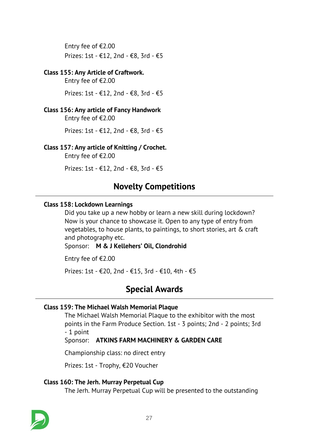*Entry fee of €2.00 Prizes: 1st - €12, 2nd - €8, 3rd - €5*

### *Class 155: Any Article of Craftwork.*

*Entry fee of €2.00*

*Prizes: 1st - €12, 2nd - €8, 3rd - €5*

# *Class 156: Any article of Fancy Handwork*

*Entry fee of €2.00*

*Prizes: 1st - €12, 2nd - €8, 3rd - €5*

# *Class 157: Any article of Knitting / Crochet.*

*Entry fee of €2.00*

*Prizes: 1st - €12, 2nd - €8, 3rd - €5*

# *Novelty Competitions*

### *Class 158: Lockdown Learnings*

*Did you take up a new hobby or learn a new skill during lockdown? Now is your chance to showcase it. Open to any type of entry from vegetables, to house plants, to paintings, to short stories, art & craft and photography etc.*

*Sponsor: M & J Kellehers' Oil, Clondrohid*

*Entry fee of €2.00*

*Prizes: 1st - €20, 2nd - €15, 3rd - €10, 4th - €5*

# *Special Awards*

# *Class 159: The Michael Walsh Memorial Plaque*

*The Michael Walsh Memorial Plaque to the exhibitor with the most points in the Farm Produce Section. 1st - 3 points; 2nd - 2 points; 3rd - 1 point*

*Sponsor: ATKINS FARM MACHINERY & GARDEN CARE*

*Championship class: no direct entry*

*Prizes: 1st - Trophy, €20 Voucher*

# *Class 160: The Jerh. Murray Perpetual Cup*

*The Jerh. Murray Perpetual Cup will be presented to the outstanding*

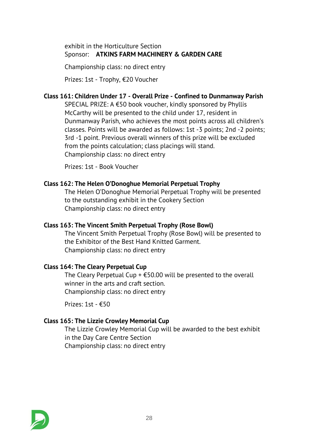*exhibit in the Horticulture Section Sponsor: ATKINS FARM MACHINERY & GARDEN CARE*

*Championship class: no direct entry*

*Prizes: 1st - Trophy, €20 Voucher*

# *Class 161: Children Under 17 - Overall Prize - Confined to Dunmanway Parish*

*SPECIAL PRIZE: A €50 book voucher, kindly sponsored by Phyllis McCarthy will be presented to the child under 17, resident in Dunmanway Parish, who achieves the most points across all children's classes. Points will be awarded as follows: 1st -3 points; 2nd -2 points; 3rd -1 point. Previous overall winners of this prize will be excluded from the points calculation; class placings will stand. Championship class: no direct entry*

*Prizes: 1st - Book Voucher*

### *Class 162: The Helen O'Donoghue Memorial Perpetual Trophy*

*The Helen O'Donoghue Memorial Perpetual Trophy will be presented to the outstanding exhibit in the Cookery Section Championship class: no direct entry*

# *Class 163: The Vincent Smith Perpetual Trophy (Rose Bowl)*

*The Vincent Smith Perpetual Trophy (Rose Bowl) will be presented to the Exhibitor of the Best Hand Knitted Garment. Championship class: no direct entry*

# *Class 164: The Cleary Perpetual Cup*

*The Cleary Perpetual Cup + €50.00 will be presented to the overall winner in the arts and craft section. Championship class: no direct entry*

*Prizes: 1st - €50*

# *Class 165: The Lizzie Crowley Memorial Cup*

*The Lizzie Crowley Memorial Cup will be awarded to the best exhibit in the Day Care Centre Section Championship class: no direct entry*

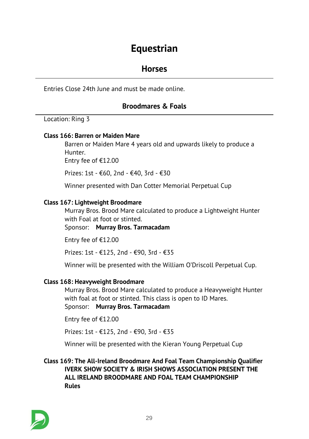# *Equestrian*

# *Horses*

*Entries Close 24th June and must be made online.*

# *Broodmares & Foals*

*Location: Ring 3*

#### *Class 166: Barren or Maiden Mare*

*Barren or Maiden Mare 4 years old and upwards likely to produce a Hunter.*

*Entry fee of €12.00*

*Prizes: 1st - €60, 2nd - €40, 3rd - €30*

*Winner presented with Dan Cotter Memorial Perpetual Cup*

#### *Class 167: Lightweight Broodmare*

*Murray Bros. Brood Mare calculated to produce a Lightweight Hunter with Foal at foot or stinted.*

*Sponsor: Murray Bros. Tarmacadam*

*Entry fee of €12.00*

*Prizes: 1st - €125, 2nd - €90, 3rd - €35*

*Winner will be presented with the William O'Driscoll Perpetual Cup.*

#### *Class 168: Heavyweight Broodmare*

*Murray Bros. Brood Mare calculated to produce a Heavyweight Hunter with foal at foot or stinted. This class is open to ID Mares.*

*Sponsor: Murray Bros. Tarmacadam*

*Entry fee of €12.00*

*Prizes: 1st - €125, 2nd - €90, 3rd - €35*

*Winner will be presented with the Kieran Young Perpetual Cup*

*Class 169: The All-Ireland Broodmare And Foal Team Championship Qualifier IVERK SHOW SOCIETY & IRISH SHOWS ASSOCIATION PRESENT THE ALL IRELAND BROODMARE AND FOAL TEAM CHAMPIONSHIP Rules*

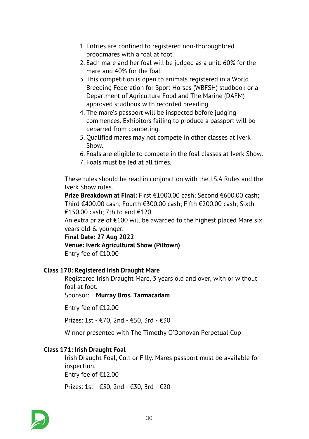- *1. Entries are confined to registered non-thoroughbred broodmares with a foal at foot.*
- *2. Each mare and her foal will be judged as a unit: 60% for the mare and 40% for the foal.*
- *3. This competition is open to animals registered in a World Breeding Federation for Sport Horses (WBFSH) studbook or a Department of Agriculture Food and The Marine (DAFM) approved studbook with recorded breeding.*
- *4. The mare's passport will be inspected before judging commences. Exhibitors failing to produce a passport will be debarred from competing.*
- *5. Qualified mares may not compete in other classes at Iverk Show.*
- *6. Foals are eligible to compete in the foal classes at Iverk Show.*
- *7. Foals must be led at all times.*

*These rules should be read in conjunction with the I.S.A Rules and the Iverk Show rules.*

*Prize Breakdown at Final: First €1000.00 cash; Second €600.00 cash; Third €400.00 cash; Fourth €300.00 cash; Fifth €200.00 cash; Sixth €150.00 cash; 7th to end €120*

*An extra prize of €100 will be awarded to the highest placed Mare six years old & younger.*

*Final Date: 27 Aug 2022 Venue: Iverk Agricultural Show (Piltown) Entry fee of €10.00*

# *Class 170: Registered Irish Draught Mare*

*Registered Irish Draught Mare, 3 years old and over, with or without foal at foot.*

*Sponsor: Murray Bros. Tarmacadam*

*Entry fee of €12.00*

*Prizes: 1st - €70, 2nd - €50, 3rd - €30*

*Winner presented with The Timothy O'Donovan Perpetual Cup*

# *Class 171: Irish Draught Foal*

*Irish Draught Foal, Colt or Filly. Mares passport must be available for inspection. Entry fee of €12.00*

*Prizes: 1st - €50, 2nd - €30, 3rd - €20*

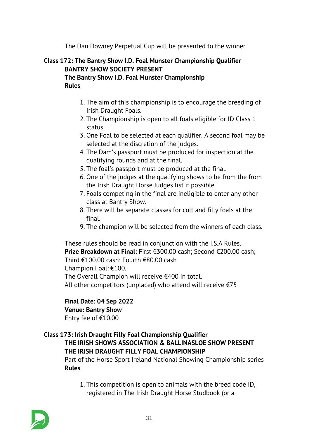*The Dan Downey Perpetual Cup will be presented to the winner*

# *Class 172: The Bantry Show I.D. Foal Munster Championship Qualifier BANTRY SHOW SOCIETY PRESENT The Bantry Show I.D. Foal Munster Championship Rules*

- *1. The aim of this championship is to encourage the breeding of Irish Draught Foals.*
- *2. The Championship is open to all foals eligible for ID Class 1 status.*
- *3. One Foal to be selected at each qualifier. A second foal may be selected at the discretion of the judges.*
- *4. The Dam's passport must be produced for inspection at the qualifying rounds and at the final.*
- *5. The foal's passport must be produced at the final.*
- *6. One of the judges at the qualifying shows to be from the from the Irish Draught Horse Judges list if possible.*
- *7. Foals competing in the final are ineligible to enter any other class at Bantry Show.*
- *8. There will be separate classes for colt and filly foals at the final.*
- *9. The champion will be selected from the winners of each class.*

*These rules should be read in conjunction with the I.S.A Rules. Prize Breakdown at Final: First €300.00 cash; Second €200.00 cash; Third €100.00 cash; Fourth €80.00 cash Champion Foal: €100. The Overall Champion will receive €400 in total. All other competitors (unplaced) who attend will receive €75*

# *Final Date: 04 Sep 2022*

# *Venue: Bantry Show*

*Entry fee of €10.00*

# *Class 173: Irish Draught Filly Foal Championship Qualifier*

# *THE IRISH SHOWS ASSOCIATION & BALLINASLOE SHOW PRESENT THE IRISH DRAUGHT FILLY FOAL CHAMPIONSHIP*

*Part of the Horse Sport Ireland National Showing Championship series Rules*

*1. This competition is open to animals with the breed code ID, registered in The Irish Draught Horse Studbook (or a*

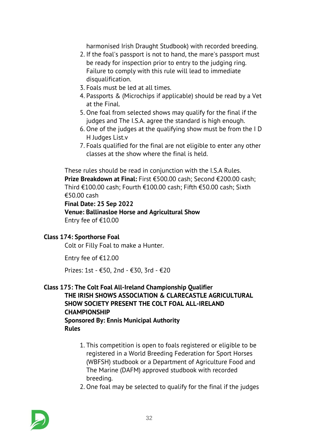*harmonised Irish Draught Studbook) with recorded breeding.*

- *2. If the foal's passport is not to hand, the mare's passport must be ready for inspection prior to entry to the judging ring. Failure to comply with this rule will lead to immediate disqualification.*
- *3. Foals must be led at all times.*
- *4. Passports & (Microchips if applicable) should be read by a Vet at the Final.*
- *5. One foal from selected shows may qualify for the final if the judges and The I.S.A. agree the standard is high enough.*
- *6. One of the judges at the qualifying show must be from the I D H Judges List.v*
- *7. Foals qualified for the final are not eligible to enter any other classes at the show where the final is held.*

*These rules should be read in conjunction with the I.S.A Rules. Prize Breakdown at Final: First €500.00 cash; Second €200.00 cash; Third €100.00 cash; Fourth €100.00 cash; Fifth €50.00 cash; Sixth €50.00 cash*

*Final Date: 25 Sep 2022 Venue: Ballinasloe Horse and Agricultural Show Entry fee of €10.00*

#### *Class 174: Sporthorse Foal*

*Colt or Filly Foal to make a Hunter.*

*Entry fee of €12.00*

*Prizes: 1st - €50, 2nd - €30, 3rd - €20*

### *Class 175: The Colt Foal All-Ireland Championship Qualifier THE IRISH SHOWS ASSOCIATION & CLARECASTLE AGRICULTURAL SHOW SOCIETY PRESENT THE COLT FOAL ALL-IRELAND CHAMPIONSHIP Sponsored By: Ennis Municipal Authority Rules*

- *1. This competition is open to foals registered or eligible to be registered in a World Breeding Federation for Sport Horses (WBFSH) studbook or a Department of Agriculture Food and The Marine (DAFM) approved studbook with recorded breeding.*
- *2. One foal may be selected to qualify for the final if the judges*

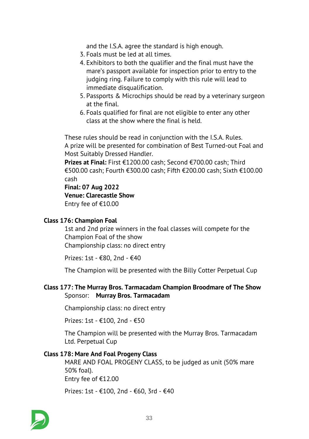*and the I.S.A. agree the standard is high enough.*

- *3. Foals must be led at all times.*
- *4. Exhibitors to both the qualifier and the final must have the mare's passport available for inspection prior to entry to the judging ring. Failure to comply with this rule will lead to immediate disqualification.*
- *5. Passports & Microchips should be read by a veterinary surgeon at the final.*
- *6. Foals qualified for final are not eligible to enter any other class at the show where the final is held.*

*These rules should be read in conjunction with the I.S.A. Rules. A prize will be presented for combination of Best Turned-out Foal and Most Suitably Dressed Handler.*

*Prizes at Final: First €1200.00 cash; Second €700.00 cash; Third €500.00 cash; Fourth €300.00 cash; Fifth €200.00 cash; Sixth €100.00 cash*

*Final: 07 Aug 2022*

*Venue: Clarecastle Show*

*Entry fee of €10.00*

#### *Class 176: Champion Foal*

*1st and 2nd prize winners in the foal classes will compete for the Champion Foal of the show Championship class: no direct entry*

*Prizes: 1st - €80, 2nd - €40*

*The Champion will be presented with the Billy Cotter Perpetual Cup*

#### *Class 177: The Murray Bros. Tarmacadam Champion Broodmare of The Show Sponsor: Murray Bros. Tarmacadam*

*Championship class: no direct entry*

*Prizes: 1st - €100, 2nd - €50*

*The Champion will be presented with the Murray Bros. Tarmacadam Ltd. Perpetual Cup*

#### *Class 178: Mare And Foal Progeny Class*

*MARE AND FOAL PROGENY CLASS, to be judged as unit (50% mare 50% foal). Entry fee of €12.00*

*Prizes: 1st - €100, 2nd - €60, 3rd - €40*

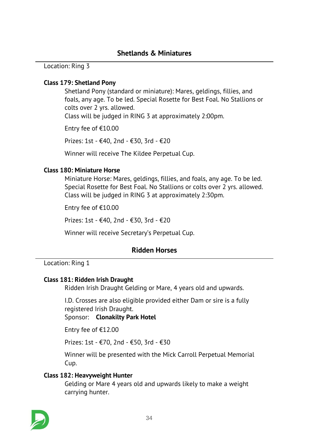*Location: Ring 3*

# *Class 179: Shetland Pony*

*Shetland Pony (standard or miniature): Mares, geldings, fillies, and foals, any age. To be led. Special Rosette for Best Foal. No Stallions or colts over 2 yrs. allowed. Class will be judged in RING 3 at approximately 2:00pm.*

*Entry fee of €10.00*

*Prizes: 1st - €40, 2nd - €30, 3rd - €20*

*Winner will receive The Kildee Perpetual Cup.*

# *Class 180: Miniature Horse*

*Miniature Horse: Mares, geldings, fillies, and foals, any age. To be led. Special Rosette for Best Foal. No Stallions or colts over 2 yrs. allowed. Class will be judged in RING 3 at approximately 2:30pm.*

*Entry fee of €10.00*

*Prizes: 1st - €40, 2nd - €30, 3rd - €20*

*Winner will receive Secretary's Perpetual Cup.*

# *Ridden Horses*

*Location: Ring 1*

# *Class 181: Ridden Irish Draught*

*Ridden Irish Draught Gelding or Mare, 4 years old and upwards.*

*I.D. Crosses are also eligible provided either Dam or sire is a fully registered Irish Draught.*

*Sponsor: Clonakilty Park Hotel*

*Entry fee of €12.00*

*Prizes: 1st - €70, 2nd - €50, 3rd - €30*

*Winner will be presented with the Mick Carroll Perpetual Memorial Cup.*

#### *Class 182: Heavyweight Hunter*

*Gelding or Mare 4 years old and upwards likely to make a weight carrying hunter.*

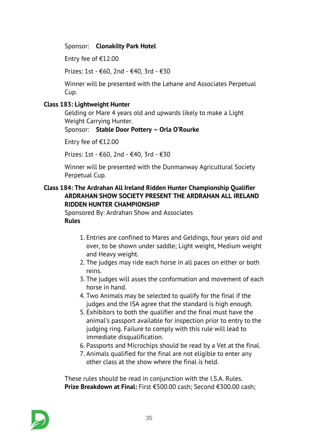# *Sponsor: Clonakilty Park Hotel*

*Entry fee of €12.00*

*Prizes: 1st - €60, 2nd - €40, 3rd - €30*

*Winner will be presented with the Lehane and Associates Perpetual Cup.*

### *Class 183: Lightweight Hunter*

*Gelding or Mare 4 years old and upwards likely to make a Light Weight Carrying Hunter.*

#### *Sponsor: Stable Door Pottery – Orla O'Rourke*

*Entry fee of €12.00*

*Prizes: 1st - €60, 2nd - €40, 3rd - €30*

*Winner will be presented with the Dunmanway Agricultural Society Perpetual Cup.*

# *Class 184: The Ardrahan All Ireland Ridden Hunter Championship Qualifier ARDRAHAN SHOW SOCIETY PRESENT THE ARDRAHAN ALL IRELAND RIDDEN HUNTER CHAMPIONSHIP*

*Sponsored By: Ardrahan Show and Associates Rules*

- *1. Entries are confined to Mares and Geldings, four years old and over, to be shown under saddle; Light weight, Medium weight and Heavy weight.*
- *2. The judges may ride each horse in all paces on either or both reins.*
- *3. The judges will asses the conformation and movement of each horse in hand.*
- *4. Two Animals may be selected to qualify for the final if the judges and the ISA agree that the standard is high enough.*
- *5. Exhibitors to both the qualifier and the final must have the animal's passport available for inspection prior to entry to the judging ring. Failure to comply with this rule will lead to immediate disqualification.*
- *6. Passports and Microchips should be read by a Vet at the final.*
- *7. Animals qualified for the final are not eligible to enter any other class at the show where the final is held.*

*These rules should be read in conjunction with the I.S.A. Rules. Prize Breakdown at Final: First €500.00 cash; Second €300.00 cash;*

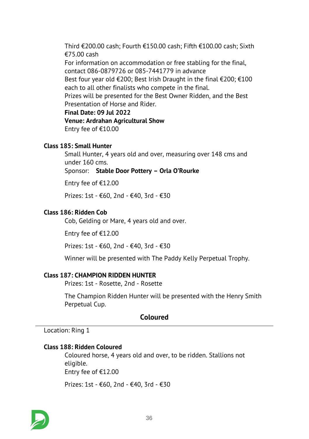*Third €200.00 cash; Fourth €150.00 cash; Fifth €100.00 cash; Sixth €75.00 cash For information on accommodation or free stabling for the final, contact 086-0879726 or 085-7441779 in advance Best four year old €200; Best Irish Draught in the final €200; €100 each to all other finalists who compete in the final. Prizes will be presented for the Best Owner Ridden, and the Best Presentation of Horse and Rider. Final Date: 09 Jul 2022 Venue: Ardrahan Agricultural Show Entry fee of €10.00*

#### *Class 185: Small Hunter*

*Small Hunter, 4 years old and over, measuring over 148 cms and under 160 cms. Sponsor: Stable Door Pottery – Orla O'Rourke*

*Entry fee of €12.00*

*Prizes: 1st - €60, 2nd - €40, 3rd - €30*

#### *Class 186: Ridden Cob*

*Cob, Gelding or Mare, 4 years old and over.*

*Entry fee of €12.00*

*Prizes: 1st - €60, 2nd - €40, 3rd - €30*

*Winner will be presented with The Paddy Kelly Perpetual Trophy.*

#### *Class 187: CHAMPION RIDDEN HUNTER*

*Prizes: 1st - Rosette, 2nd - Rosette*

*The Champion Ridden Hunter will be presented with the Henry Smith Perpetual Cup.*

# *Coloured*

*Location: Ring 1*

#### *Class 188: Ridden Coloured*

*Coloured horse, 4 years old and over, to be ridden. Stallions not eligible. Entry fee of €12.00*

*Prizes: 1st - €60, 2nd - €40, 3rd - €30*

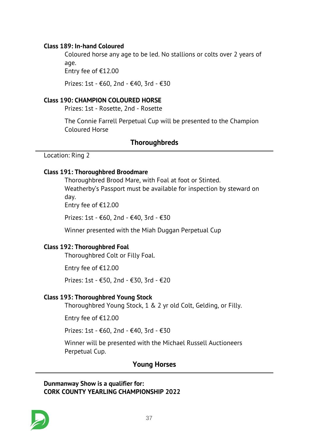### *Class 189: In-hand Coloured*

*Coloured horse any age to be led. No stallions or colts over 2 years of age.*

*Entry fee of €12.00*

*Prizes: 1st - €60, 2nd - €40, 3rd - €30*

#### *Class 190: CHAMPION COLOURED HORSE*

*Prizes: 1st - Rosette, 2nd - Rosette*

*The Connie Farrell Perpetual Cup will be presented to the Champion Coloured Horse*

### *Thoroughbreds*

*Location: Ring 2*

#### *Class 191: Thoroughbred Broodmare*

*Thoroughbred Brood Mare, with Foal at foot or Stinted. Weatherby's Passport must be available for inspection by steward on day.*

*Entry fee of €12.00*

*Prizes: 1st - €60, 2nd - €40, 3rd - €30*

*Winner presented with the Miah Duggan Perpetual Cup*

#### *Class 192: Thoroughbred Foal*

*Thoroughbred Colt or Filly Foal.*

*Entry fee of €12.00*

*Prizes: 1st - €50, 2nd - €30, 3rd - €20*

#### *Class 193: Thoroughbred Young Stock*

*Thoroughbred Young Stock, 1 & 2 yr old Colt, Gelding, or Filly.*

*Entry fee of €12.00*

*Prizes: 1st - €60, 2nd - €40, 3rd - €30*

*Winner will be presented with the Michael Russell Auctioneers Perpetual Cup.*

# *Young Horses*

*Dunmanway Show is a qualifier for: CORK COUNTY YEARLING CHAMPIONSHIP 2022*

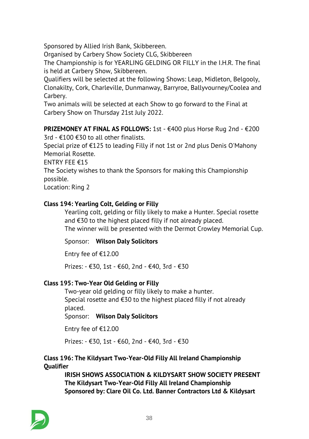*Sponsored by Allied Irish Bank, Skibbereen.*

*Organised by Carbery Show Society CLG, Skibbereen*

*The Championship is for YEARLING GELDING OR FILLY in the I.H.R. The final is held at Carbery Show, Skibbereen.*

*Qualifiers will be selected at the following Shows: Leap, Midleton, Belgooly, Clonakilty, Cork, Charleville, Dunmanway, Barryroe, Ballyvourney/Coolea and Carbery.*

*Two animals will be selected at each Show to go forward to the Final at Carbery Show on Thursday 21st July 2022.*

*PRIZEMONEY AT FINAL AS FOLLOWS: 1st - €400 plus Horse Rug 2nd - €200*

*3rd - €100 €30 to all other finalists.*

*Special prize of €125 to leading Filly if not 1st or 2nd plus Denis O'Mahony Memorial Rosette.*

*ENTRY FEE €15*

*The Society wishes to thank the Sponsors for making this Championship possible.*

*Location: Ring 2*

# *Class 194: Yearling Colt, Gelding or Filly*

*Yearling colt, gelding or filly likely to make a Hunter. Special rosette and €30 to the highest placed filly if not already placed. The winner will be presented with the Dermot Crowley Memorial Cup.*

*Sponsor: Wilson Daly Solicitors*

*Entry fee of €12.00*

*Prizes: - €30, 1st - €60, 2nd - €40, 3rd - €30*

# *Class 195: Two-Year Old Gelding or Filly*

*Two-year old gelding or filly likely to make a hunter. Special rosette and €30 to the highest placed filly if not already placed.*

*Sponsor: Wilson Daly Solicitors*

*Entry fee of €12.00*

*Prizes: - €30, 1st - €60, 2nd - €40, 3rd - €30*

# *Class 196: The Kildysart Two-Year-Old Filly All Ireland Championship Qualifier*

*IRISH SHOWS ASSOCIATION & KILDYSART SHOW SOCIETY PRESENT The Kildysart Two-Year-Old Filly All Ireland Championship Sponsored by: Clare Oil Co. Ltd. Banner Contractors Ltd & Kildysart*

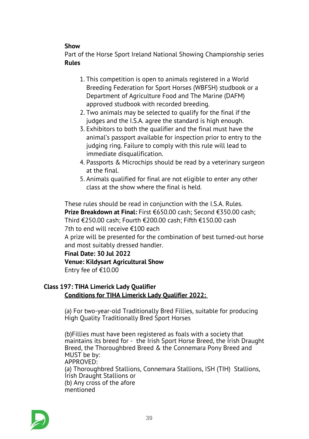# *Show*

*Part of the Horse Sport Ireland National Showing Championship series Rules*

- *1. This competition is open to animals registered in a World Breeding Federation for Sport Horses (WBFSH) studbook or a Department of Agriculture Food and The Marine (DAFM) approved studbook with recorded breeding.*
- *2. Two animals may be selected to qualify for the final if the judges and the I.S.A. agree the standard is high enough.*
- *3. Exhibitors to both the qualifier and the final must have the animal's passport available for inspection prior to entry to the judging ring. Failure to comply with this rule will lead to immediate disqualification.*
- *4. Passports & Microchips should be read by a veterinary surgeon at the final.*
- *5. Animals qualified for final are not eligible to enter any other class at the show where the final is held.*

*These rules should be read in conjunction with the I.S.A. Rules. Prize Breakdown at Final: First €650.00 cash; Second €350.00 cash; Third €250.00 cash; Fourth €200.00 cash; Fifth €150.00 cash 7th to end will receive €100 each A prize will be presented for the combination of best turned-out horse and most suitably dressed handler. Final Date: 30 Jul 2022 Venue: Kildysart Agricultural Show*

*Entry fee of €10.00*

# *Class 197: TIHA Limerick Lady Qualifier Conditions for TIHA Limerick Lady Qualifier 2022:*

*(a) For two-year-old Traditionally Bred Fillies, suitable for producing High Quality Traditionally Bred Sport Horses*

*(b)Fillies must have been registered as foals with a society that maintains its breed for - the Irish Sport Horse Breed, the Irish Draught Breed, the Thoroughbred Breed & the Connemara Pony Breed and MUST be by: APPROVED: (a) Thoroughbred Stallions, Connemara Stallions, ISH (TIH) Stallions, Irish Draught Stallions or (b) Any cross of the afore mentioned* 

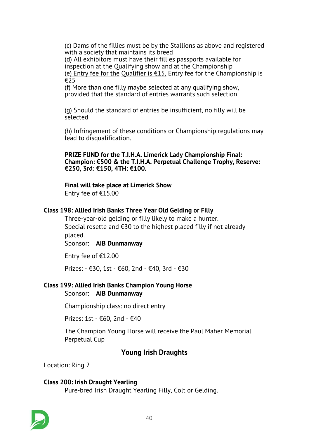*(c) Dams of the fillies must be by the Stallions as above and registered with a society that maintains its breed*

*(d) All exhibitors must have their fillies passports available for inspection at the Qualifying show and at the Championship (e) Entry fee for the Qualifier is €15, Entry fee for the Championship is €25*

*(f) More than one filly maybe selected at any qualifying show, provided that the standard of entries warrants such selection* 

*(g) Should the standard of entries be insufficient, no filly will be selected* 

*(h) Infringement of these conditions or Championship regulations may lead to disqualification.* 

*PRIZE FUND for the T.I.H.A. Limerick Lady Championship Final: Champion: €500 & the T.I.H.A. Perpetual Challenge Trophy, Reserve: €250, 3rd: €150, 4TH: €100.* 

#### *Final will take place at Limerick Show*

*Entry fee of €15.00*

#### *Class 198: Allied Irish Banks Three Year Old Gelding or Filly*

*Three-year-old gelding or filly likely to make a hunter. Special rosette and €30 to the highest placed filly if not already placed.*

*Sponsor: AIB Dunmanway*

*Entry fee of €12.00*

*Prizes: - €30, 1st - €60, 2nd - €40, 3rd - €30*

# *Class 199: Allied Irish Banks Champion Young Horse*

*Sponsor: AIB Dunmanway*

*Championship class: no direct entry*

*Prizes: 1st - €60, 2nd - €40*

*The Champion Young Horse will receive the Paul Maher Memorial Perpetual Cup*

# *Young Irish Draughts*

*Location: Ring 2*

#### *Class 200: Irish Draught Yearling*

*Pure-bred Irish Draught Yearling Filly, Colt or Gelding.*

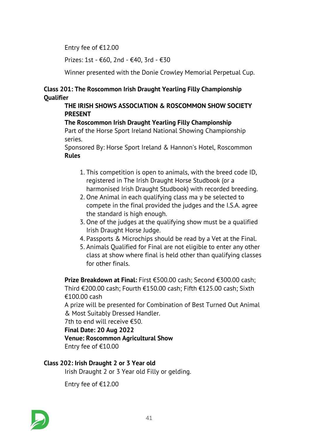*Entry fee of €12.00*

*Prizes: 1st - €60, 2nd - €40, 3rd - €30*

*Winner presented with the Donie Crowley Memorial Perpetual Cup.*

# *Class 201: The Roscommon Irish Draught Yearling Filly Championship Qualifier*

# *THE IRISH SHOWS ASSOCIATION & ROSCOMMON SHOW SOCIETY PRESENT*

# *The Roscommon Irish Draught Yearling Filly Championship*

*Part of the Horse Sport Ireland National Showing Championship series.*

*Sponsored By: Horse Sport Ireland & Hannon's Hotel, Roscommon Rules*

- *1. This competition is open to animals, with the breed code ID, registered in The Irish Draught Horse Studbook (or a harmonised Irish Draught Studbook) with recorded breeding.*
- *2. One Animal in each qualifying class ma y be selected to compete in the final provided the judges and the I.S.A. agree the standard is high enough.*
- *3. One of the judges at the qualifying show must be a qualified Irish Draught Horse Judge.*
- *4. Passports & Microchips should be read by a Vet at the Final.*
- *5. Animals Qualified for Final are not eligible to enter any other class at show where final is held other than qualifying classes for other finals.*

*Prize Breakdown at Final: First €500.00 cash; Second €300.00 cash; Third €200.00 cash; Fourth €150.00 cash; Fifth €125.00 cash; Sixth €100.00 cash*

*A prize will be presented for Combination of Best Turned Out Animal & Most Suitably Dressed Handler.*

*7th to end will receive €50.*

*Final Date: 20 Aug 2022*

*Venue: Roscommon Agricultural Show*

*Entry fee of €10.00*

# *Class 202: Irish Draught 2 or 3 Year old*

*Irish Draught 2 or 3 Year old Filly or gelding.*

*Entry fee of €12.00*

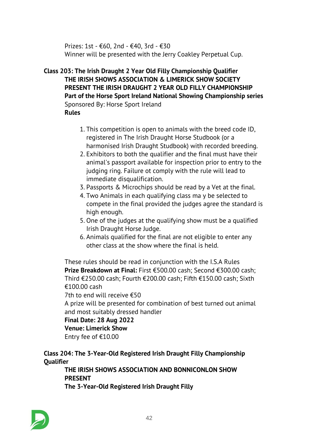*Prizes: 1st - €60, 2nd - €40, 3rd - €30 Winner will be presented with the Jerry Coakley Perpetual Cup.*

### *Class 203: The Irish Draught 2 Year Old Filly Championship Qualifier THE IRISH SHOWS ASSOCIATION & LIMERICK SHOW SOCIETY PRESENT THE IRISH DRAUGHT 2 YEAR OLD FILLY CHAMPIONSHIP Part of the Horse Sport Ireland National Showing Championship series Sponsored By: Horse Sport Ireland Rules*

- - *1. This competition is open to animals with the breed code ID, registered in The Irish Draught Horse Studbook (or a harmonised Irish Draught Studbook) with recorded breeding.*
	- *2. Exhibitors to both the qualifier and the final must have their animal's passport available for inspection prior to entry to the judging ring. Failure ot comply with the rule will lead to immediate disqualification.*
	- *3. Passports & Microchips should be read by a Vet at the final.*
	- *4. Two Animals in each qualifying class ma y be selected to compete in the final provided the judges agree the standard is high enough.*
	- *5. One of the judges at the qualifying show must be a qualified Irish Draught Horse Judge.*
	- *6. Animals qualified for the final are not eligible to enter any other class at the show where the final is held.*

*These rules should be read in conjunction with the I.S.A Rules Prize Breakdown at Final: First €500.00 cash; Second €300.00 cash; Third €250.00 cash; Fourth €200.00 cash; Fifth €150.00 cash; Sixth €100.00 cash*

*7th to end will receive €50*

*A prize will be presented for combination of best turned out animal and most suitably dressed handler*

# *Final Date: 28 Aug 2022*

*Venue: Limerick Show*

*Entry fee of €10.00*

*Class 204: The 3-Year-Old Registered Irish Draught Filly Championship Qualifier*

*THE IRISH SHOWS ASSOCIATION AND BONNICONLON SHOW PRESENT The 3-Year-Old Registered Irish Draught Filly*

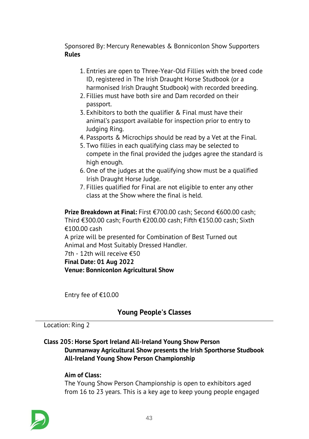*Sponsored By: Mercury Renewables & Bonniconlon Show Supporters Rules*

- *1. Entries are open to Three-Year-Old Fillies with the breed code ID, registered in The Irish Draught Horse Studbook (or a harmonised Irish Draught Studbook) with recorded breeding.*
- *2. Fillies must have both sire and Dam recorded on their passport.*
- *3. Exhibitors to both the qualifier & Final must have their animal's passport available for inspection prior to entry to Judging Ring.*
- *4. Passports & Microchips should be read by a Vet at the Final.*
- *5. Two fillies in each qualifying class may be selected to compete in the final provided the judges agree the standard is high enough.*
- *6. One of the judges at the qualifying show must be a qualified Irish Draught Horse Judge.*
- *7. Fillies qualified for Final are not eligible to enter any other class at the Show where the final is held.*

*Prize Breakdown at Final: First €700.00 cash; Second €600.00 cash; Third €300.00 cash; Fourth €200.00 cash; Fifth €150.00 cash; Sixth €100.00 cash A prize will be presented for Combination of Best Turned out Animal and Most Suitably Dressed Handler. 7th - 12th will receive €50 Final Date: 01 Aug 2022 Venue: Bonniconlon Agricultural Show*

*Entry fee of €10.00*

# *Young People's Classes*

#### *Location: Ring 2*

# *Class 205: Horse Sport Ireland All-Ireland Young Show Person Dunmanway Agricultural Show presents the Irish Sporthorse Studbook All-Ireland Young Show Person Championship*

# *Aim of Class:*

*The Young Show Person Championship is open to exhibitors aged from 16 to 23 years. This is a key age to keep young people engaged*

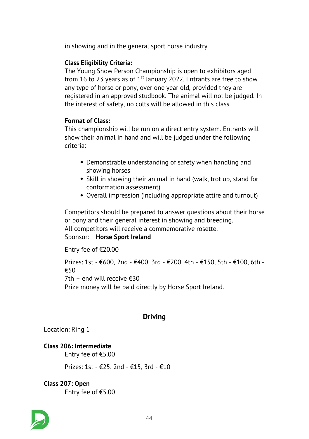*in showing and in the general sport horse industry.*

# *Class Eligibility Criteria:*

*The Young Show Person Championship is open to exhibitors aged from 16 to 23 years as of 1st January 2022. Entrants are free to show any type of horse or pony, over one year old, provided they are registered in an approved studbook. The animal will not be judged. In the interest of safety, no colts will be allowed in this class.*

# *Format of Class:*

*This championship will be run on a direct entry system. Entrants will show their animal in hand and will be judged under the following criteria:*

- *Demonstrable understanding of safety when handling and showing horses*
- *Skill in showing their animal in hand (walk, trot up, stand for conformation assessment)*
- *Overall impression (including appropriate attire and turnout)*

*Competitors should be prepared to answer questions about their horse or pony and their general interest in showing and breeding. All competitors will receive a commemorative rosette. Sponsor: Horse Sport Ireland*

*Entry fee of €20.00*

*Prizes: 1st - €600, 2nd - €400, 3rd - €200, 4th - €150, 5th - €100, 6th - €50 7th – end will receive €30 Prize money will be paid directly by Horse Sport Ireland.* 

# *Driving*

*Location: Ring 1*

# *Class 206: Intermediate*

*Entry fee of €5.00*

*Prizes: 1st - €25, 2nd - €15, 3rd - €10*

# *Class 207: Open*

*Entry fee of €5.00*

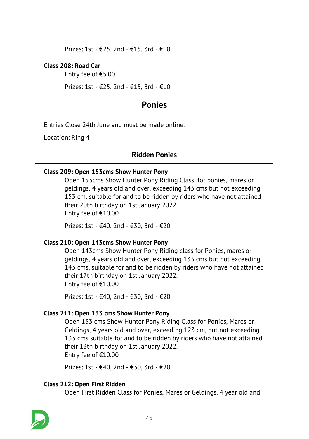*Prizes: 1st - €25, 2nd - €15, 3rd - €10*

#### *Class 208: Road Car*

*Entry fee of €5.00*

*Prizes: 1st - €25, 2nd - €15, 3rd - €10*

# *Ponies*

*Entries Close 24th June and must be made online.*

*Location: Ring 4*

# *Ridden Ponies*

#### *Class 209: Open 153cms Show Hunter Pony*

*Open 153cms Show Hunter Pony Riding Class, for ponies, mares or geldings, 4 years old and over, exceeding 143 cms but not exceeding 153 cm, suitable for and to be ridden by riders who have not attained their 20th birthday on 1st January 2022. Entry fee of €10.00*

*Prizes: 1st - €40, 2nd - €30, 3rd - €20*

#### *Class 210: Open 143cms Show Hunter Pony*

*Open 143cms Show Hunter Pony Riding class for Ponies, mares or geldings, 4 years old and over, exceeding 133 cms but not exceeding 143 cms, suitable for and to be ridden by riders who have not attained their 17th birthday on 1st January 2022. Entry fee of €10.00*

*Prizes: 1st - €40, 2nd - €30, 3rd - €20*

#### *Class 211: Open 133 cms Show Hunter Pony*

*Open 133 cms Show Hunter Pony Riding Class for Ponies, Mares or Geldings, 4 years old and over, exceeding 123 cm, but not exceeding 133 cms suitable for and to be ridden by riders who have not attained their 13th birthday on 1st January 2022. Entry fee of €10.00*

*Prizes: 1st - €40, 2nd - €30, 3rd - €20*

#### *Class 212: Open First Ridden*

*Open First Ridden Class for Ponies, Mares or Geldings, 4 year old and*

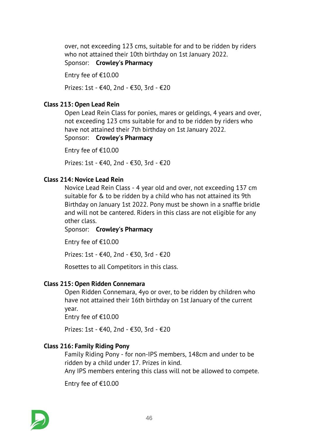*over, not exceeding 123 cms, suitable for and to be ridden by riders who not attained their 10th birthday on 1st January 2022.*

*Sponsor: Crowley's Pharmacy*

*Entry fee of €10.00*

*Prizes: 1st - €40, 2nd - €30, 3rd - €20*

# *Class 213: Open Lead Rein*

*Open Lead Rein Class for ponies, mares or geldings, 4 years and over, not exceeding 123 cms suitable for and to be ridden by riders who have not attained their 7th birthday on 1st January 2022.*

*Sponsor: Crowley's Pharmacy*

*Entry fee of €10.00*

*Prizes: 1st - €40, 2nd - €30, 3rd - €20*

### *Class 214: Novice Lead Rein*

*Novice Lead Rein Class - 4 year old and over, not exceeding 137 cm suitable for & to be ridden by a child who has not attained its 9th Birthday on January 1st 2022. Pony must be shown in a snaffle bridle and will not be cantered. Riders in this class are not eligible for any other class.*

*Sponsor: Crowley's Pharmacy*

*Entry fee of €10.00*

*Prizes: 1st - €40, 2nd - €30, 3rd - €20*

*Rosettes to all Competitors in this class.*

#### *Class 215: Open Ridden Connemara*

*Open Ridden Connemara, 4yo or over, to be ridden by children who have not attained their 16th birthday on 1st January of the current year.*

*Entry fee of €10.00*

*Prizes: 1st - €40, 2nd - €30, 3rd - €20*

#### *Class 216: Family Riding Pony*

*Family Riding Pony - for non-IPS members, 148cm and under to be ridden by a child under 17. Prizes in kind.*

*Any IPS members entering this class will not be allowed to compete.*

*Entry fee of €10.00*

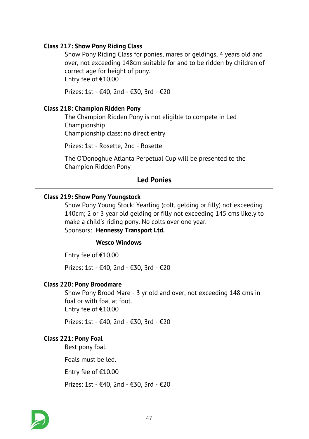### *Class 217: Show Pony Riding Class*

*Show Pony Riding Class for ponies, mares or geldings, 4 years old and over, not exceeding 148cm suitable for and to be ridden by children of correct age for height of pony. Entry fee of €10.00*

*Prizes: 1st - €40, 2nd - €30, 3rd - €20*

#### *Class 218: Champion Ridden Pony*

*The Champion Ridden Pony is not eligible to compete in Led Championship*

*Championship class: no direct entry*

*Prizes: 1st - Rosette, 2nd - Rosette*

*The O'Donoghue Atlanta Perpetual Cup will be presented to the Champion Ridden Pony*

# *Led Ponies*

#### *Class 219: Show Pony Youngstock*

*Show Pony Young Stock: Yearling (colt, gelding or filly) not exceeding 140cm; 2 or 3 year old gelding or filly not exceeding 145 cms likely to make a child's riding pony. No colts over one year. Sponsors: Hennessy Transport Ltd.*

#### *Wesco Windows*

*Entry fee of €10.00*

*Prizes: 1st - €40, 2nd - €30, 3rd - €20*

#### *Class 220: Pony Broodmare*

*Show Pony Brood Mare - 3 yr old and over, not exceeding 148 cms in foal or with foal at foot. Entry fee of €10.00*

*Prizes: 1st - €40, 2nd - €30, 3rd - €20*

#### *Class 221: Pony Foal*

*Best pony foal.*

*Foals must be led.*

*Entry fee of €10.00*

*Prizes: 1st - €40, 2nd - €30, 3rd - €20*

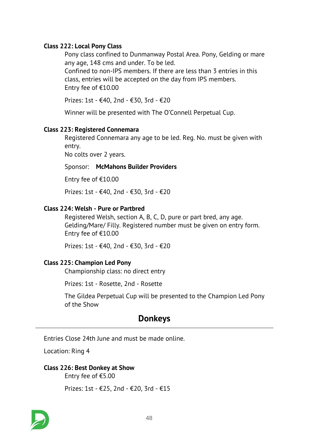### *Class 222: Local Pony Class*

*Pony class confined to Dunmanway Postal Area. Pony, Gelding or mare any age, 148 cms and under. To be led.*

*Confined to non-IPS members. If there are less than 3 entries in this class, entries will be accepted on the day from IPS members. Entry fee of €10.00*

*Prizes: 1st - €40, 2nd - €30, 3rd - €20*

*Winner will be presented with The O'Connell Perpetual Cup.*

#### *Class 223: Registered Connemara*

*Registered Connemara any age to be led. Reg. No. must be given with entry.*

*No colts over 2 years.*

#### *Sponsor: McMahons Builder Providers*

*Entry fee of €10.00*

*Prizes: 1st - €40, 2nd - €30, 3rd - €20*

#### *Class 224: Welsh - Pure or Partbred*

*Registered Welsh, section A, B, C, D, pure or part bred, any age. Gelding/Mare/ Filly. Registered number must be given on entry form. Entry fee of €10.00*

*Prizes: 1st - €40, 2nd - €30, 3rd - €20*

#### *Class 225: Champion Led Pony*

*Championship class: no direct entry*

*Prizes: 1st - Rosette, 2nd - Rosette*

*The Gildea Perpetual Cup will be presented to the Champion Led Pony of the Show*

# *Donkeys*

*Entries Close 24th June and must be made online.*

*Location: Ring 4*

#### *Class 226: Best Donkey at Show*

*Entry fee of €5.00*

*Prizes: 1st - €25, 2nd - €20, 3rd - €15*

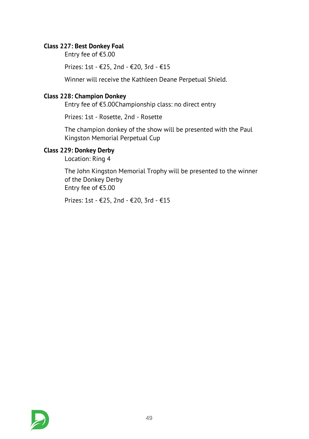# *Class 227: Best Donkey Foal*

*Entry fee of €5.00*

*Prizes: 1st - €25, 2nd - €20, 3rd - €15*

*Winner will receive the Kathleen Deane Perpetual Shield.*

# *Class 228: Champion Donkey*

*Entry fee of €5.00Championship class: no direct entry*

*Prizes: 1st - Rosette, 2nd - Rosette*

*The champion donkey of the show will be presented with the Paul Kingston Memorial Perpetual Cup*

# *Class 229: Donkey Derby*

*Location: Ring 4*

*The John Kingston Memorial Trophy will be presented to the winner of the Donkey Derby Entry fee of €5.00*

*Prizes: 1st - €25, 2nd - €20, 3rd - €15*

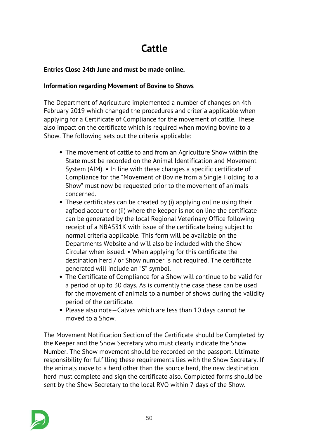# *Cattle*

# *Entries Close 24th June and must be made online.*

# *Information regarding Movement of Bovine to Shows*

*The Department of Agriculture implemented a number of changes on 4th February 2019 which changed the procedures and criteria applicable when applying for a Certificate of Compliance for the movement of cattle. These also impact on the certificate which is required when moving bovine to a Show. The following sets out the criteria applicable:*

- *The movement of cattle to and from an Agriculture Show within the State must be recorded on the Animal Identification and Movement System (AIM). • In line with these changes a specific certificate of Compliance for the "Movement of Bovine from a Single Holding to a Show" must now be requested prior to the movement of animals concerned.*
- *These certificates can be created by (i) applying online using their agfood account or (ii) where the keeper is not on line the certificate can be generated by the local Regional Veterinary Office following receipt of a NBAS31K with issue of the certificate being subject to normal criteria applicable. This form will be available on the Departments Website and will also be included with the Show Circular when issued. • When applying for this certificate the destination herd / or Show number is not required. The certificate generated will include an "S" symbol.*
- *The Certificate of Compliance for a Show will continue to be valid for a period of up to 30 days. As is currently the case these can be used for the movement of animals to a number of shows during the validity period of the certificate.*
- *Please also note—Calves which are less than 10 days cannot be moved to a Show.*

*The Movement Notification Section of the Certificate should be Completed by the Keeper and the Show Secretary who must clearly indicate the Show Number. The Show movement should be recorded on the passport. Ultimate responsibility for fulfilling these requirements lies with the Show Secretary. If the animals move to a herd other than the source herd, the new destination herd must complete and sign the certificate also. Completed forms should be sent by the Show Secretary to the local RVO within 7 days of the Show.*

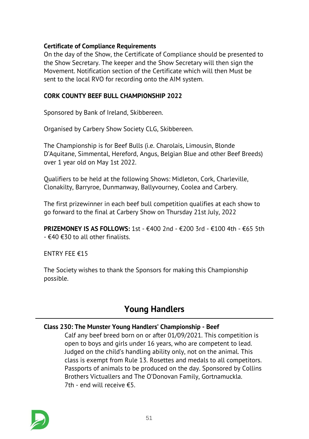# *Certificate of Compliance Requirements*

*On the day of the Show, the Certificate of Compliance should be presented to the Show Secretary. The keeper and the Show Secretary will then sign the Movement. Notification section of the Certificate which will then Must be sent to the local RVO for recording onto the AIM system.*

# *CORK COUNTY BEEF BULL CHAMPIONSHIP 2022*

*Sponsored by Bank of Ireland, Skibbereen.*

*Organised by Carbery Show Society CLG, Skibbereen.*

*The Championship is for Beef Bulls (i.e. Charolais, Limousin, Blonde D'Aquitane, Simmental, Hereford, Angus, Belgian Blue and other Beef Breeds) over 1 year old on May 1st 2022.*

*Qualifiers to be held at the following Shows: Midleton, Cork, Charleville, Clonakilty, Barryroe, Dunmanway, Ballyvourney, Coolea and Carbery.*

*The first prizewinner in each beef bull competition qualifies at each show to go forward to the final at Carbery Show on Thursday 21st July, 2022*

*PRIZEMONEY IS AS FOLLOWS: 1st - €400 2nd - €200 3rd - €100 4th - €65 5th - €40 €30 to all other finalists.*

*ENTRY FEE €15*

*The Society wishes to thank the Sponsors for making this Championship possible.*

# *Young Handlers*

# *Class 230: The Munster Young Handlers' Championship - Beef*

*Calf any beef breed born on or after 01/09/2021. This competition is open to boys and girls under 16 years, who are competent to lead. Judged on the child's handling ability only, not on the animal. This class is exempt from Rule 13. Rosettes and medals to all competitors. Passports of animals to be produced on the day. Sponsored by Collins Brothers Victuallers and The O'Donovan Family, Gortnamuckla. 7th - end will receive €5.*

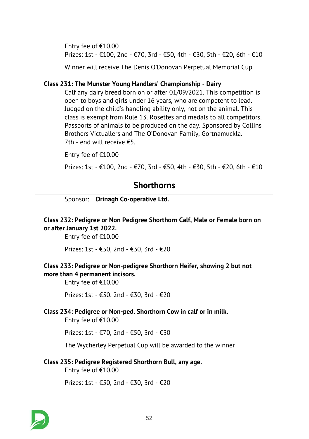*Entry fee of €10.00 Prizes: 1st - €100, 2nd - €70, 3rd - €50, 4th - €30, 5th - €20, 6th - €10*

*Winner will receive The Denis O'Donovan Perpetual Memorial Cup.*

#### *Class 231: The Munster Young Handlers' Championship - Dairy*

*Calf any dairy breed born on or after 01/09/2021. This competition is open to boys and girls under 16 years, who are competent to lead. Judged on the child's handling ability only, not on the animal. This class is exempt from Rule 13. Rosettes and medals to all competitors. Passports of animals to be produced on the day. Sponsored by Collins Brothers Victuallers and The O'Donovan Family, Gortnamuckla. 7th - end will receive €5.*

*Entry fee of €10.00*

*Prizes: 1st - €100, 2nd - €70, 3rd - €50, 4th - €30, 5th - €20, 6th - €10*

# *Shorthorns*

*Sponsor: Drinagh Co-operative Ltd.*

# *Class 232: Pedigree or Non Pedigree Shorthorn Calf, Male or Female born on or after January 1st 2022.*

*Entry fee of €10.00*

*Prizes: 1st - €50, 2nd - €30, 3rd - €20*

### *Class 233: Pedigree or Non-pedigree Shorthorn Heifer, showing 2 but not more than 4 permanent incisors.*

*Entry fee of €10.00*

*Prizes: 1st - €50, 2nd - €30, 3rd - €20*

#### *Class 234: Pedigree or Non-ped. Shorthorn Cow in calf or in milk.*

*Entry fee of €10.00*

*Prizes: 1st - €70, 2nd - €50, 3rd - €30*

*The Wycherley Perpetual Cup will be awarded to the winner*

#### *Class 235: Pedigree Registered Shorthorn Bull, any age.*

*Entry fee of €10.00*

*Prizes: 1st - €50, 2nd - €30, 3rd - €20*

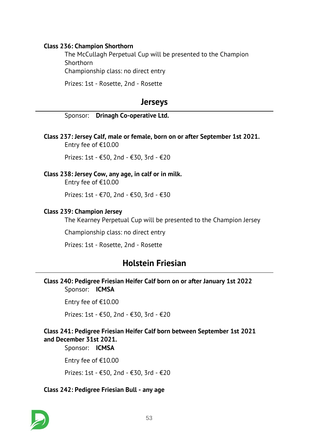#### *Class 236: Champion Shorthorn*

*The McCullagh Perpetual Cup will be presented to the Champion Shorthorn*

*Championship class: no direct entry*

*Prizes: 1st - Rosette, 2nd - Rosette*

# *Jerseys*

|  | Sponsor: Drinagh Co-operative Ltd. |  |
|--|------------------------------------|--|
|--|------------------------------------|--|

*Class 237: Jersey Calf, male or female, born on or after September 1st 2021. Entry fee of €10.00*

*Prizes: 1st - €50, 2nd - €30, 3rd - €20*

### *Class 238: Jersey Cow, any age, in calf or in milk.*

*Entry fee of €10.00*

*Prizes: 1st - €70, 2nd - €50, 3rd - €30*

#### *Class 239: Champion Jersey*

*The Kearney Perpetual Cup will be presented to the Champion Jersey*

*Championship class: no direct entry*

*Prizes: 1st - Rosette, 2nd - Rosette*

# *Holstein Friesian*

#### *Class 240: Pedigree Friesian Heifer Calf born on or after January 1st 2022 Sponsor: ICMSA*

*Entry fee of €10.00*

*Prizes: 1st - €50, 2nd - €30, 3rd - €20*

# *Class 241: Pedigree Friesian Heifer Calf born between September 1st 2021 and December 31st 2021.*

*Sponsor: ICMSA*

*Entry fee of €10.00*

*Prizes: 1st - €50, 2nd - €30, 3rd - €20*

#### *Class 242: Pedigree Friesian Bull - any age*

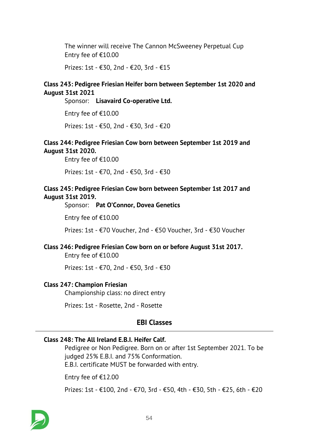*The winner will receive The Cannon McSweeney Perpetual Cup Entry fee of €10.00*

*Prizes: 1st - €30, 2nd - €20, 3rd - €15*

# *Class 243: Pedigree Friesian Heifer born between September 1st 2020 and August 31st 2021*

*Sponsor: Lisavaird Co-operative Ltd.*

*Entry fee of €10.00*

*Prizes: 1st - €50, 2nd - €30, 3rd - €20*

### *Class 244: Pedigree Friesian Cow born between September 1st 2019 and August 31st 2020.*

*Entry fee of €10.00*

*Prizes: 1st - €70, 2nd - €50, 3rd - €30*

# *Class 245: Pedigree Friesian Cow born between September 1st 2017 and August 31st 2019.*

*Sponsor: Pat O'Connor, Dovea Genetics*

*Entry fee of €10.00*

*Prizes: 1st - €70 Voucher, 2nd - €50 Voucher, 3rd - €30 Voucher*

# *Class 246: Pedigree Friesian Cow born on or before August 31st 2017.*

*Entry fee of €10.00*

*Prizes: 1st - €70, 2nd - €50, 3rd - €30*

#### *Class 247: Champion Friesian*

*Championship class: no direct entry*

*Prizes: 1st - Rosette, 2nd - Rosette*

# *EBI Classes*

# *Class 248: The All Ireland E.B.I. Heifer Calf.*

*Pedigree or Non Pedigree. Born on or after 1st September 2021. To be judged 25% E.B.I. and 75% Conformation. E.B.I. certificate MUST be forwarded with entry.*

*Entry fee of €12.00*

*Prizes: 1st - €100, 2nd - €70, 3rd - €50, 4th - €30, 5th - €25, 6th - €20*

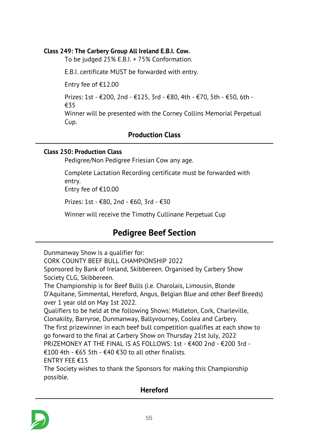# *Class 249: The Carbery Group All Ireland E.B.I. Cow.*

*To be judged 25% E.B.I. + 75% Conformation.*

*E.B.I. certificate MUST be forwarded with entry.*

*Entry fee of €12.00*

*Prizes: 1st - €200, 2nd - €125, 3rd - €80, 4th - €70, 5th - €50, 6th - €35*

*Winner will be presented with the Corney Collins Memorial Perpetual Cup.*

# *Production Class*

#### *Class 250: Production Class*

*Pedigree/Non Pedigree Friesian Cow any age.*

*Complete Lactation Recording certificate must be forwarded with entry. Entry fee of €10.00*

*Prizes: 1st - €80, 2nd - €60, 3rd - €30*

*Winner will receive the Timothy Cullinane Perpetual Cup*

# *Pedigree Beef Section*

*Dunmanway Show is a qualifier for:*

*CORK COUNTY BEEF BULL CHAMPIONSHIP 2022*

*Sponsored by Bank of Ireland, Skibbereen. Organised by Carbery Show Society CLG, Skibbereen.*

*The Championship is for Beef Bulls (i.e. Charolais, Limousin, Blonde D'Aquitane, Simmental, Hereford, Angus, Belgian Blue and other Beef Breeds) over 1 year old on May 1st 2022.*

*Qualifiers to be held at the following Shows: Midleton, Cork, Charleville, Clonakilty, Barryroe, Dunmanway, Ballyvourney, Coolea and Carbery.*

*The first prizewinner in each beef bull competition qualifies at each show to go forward to the final at Carbery Show on Thursday 21st July, 2022*

*PRIZEMONEY AT THE FINAL IS AS FOLLOWS: 1st - €400 2nd - €200 3rd -*

*€100 4th - €65 5th - €40 €30 to all other finalists.*

*ENTRY FEE €15*

*The Society wishes to thank the Sponsors for making this Championship possible.*

# *Hereford*

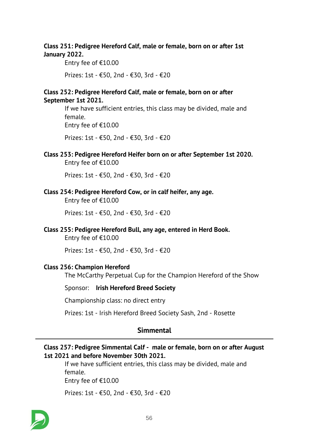# *Class 251: Pedigree Hereford Calf, male or female, born on or after 1st January 2022.*

*Entry fee of €10.00*

*Prizes: 1st - €50, 2nd - €30, 3rd - €20*

#### *Class 252: Pedigree Hereford Calf, male or female, born on or after September 1st 2021.*

*If we have sufficient entries, this class may be divided, male and female.*

*Entry fee of €10.00*

*Prizes: 1st - €50, 2nd - €30, 3rd - €20*

*Class 253: Pedigree Hereford Heifer born on or after September 1st 2020. Entry fee of €10.00*

*Prizes: 1st - €50, 2nd - €30, 3rd - €20*

*Class 254: Pedigree Hereford Cow, or in calf heifer, any age.*

*Entry fee of €10.00*

*Prizes: 1st - €50, 2nd - €30, 3rd - €20*

*Class 255: Pedigree Hereford Bull, any age, entered in Herd Book.*

*Entry fee of €10.00*

*Prizes: 1st - €50, 2nd - €30, 3rd - €20*

#### *Class 256: Champion Hereford*

*The McCarthy Perpetual Cup for the Champion Hereford of the Show*

#### *Sponsor: Irish Hereford Breed Society*

*Championship class: no direct entry*

*Prizes: 1st - Irish Hereford Breed Society Sash, 2nd - Rosette*

# *Simmental*

### *Class 257: Pedigree Simmental Calf - male or female, born on or after August 1st 2021 and before November 30th 2021.*

*If we have sufficient entries, this class may be divided, male and female. Entry fee of €10.00*

*Prizes: 1st - €50, 2nd - €30, 3rd - €20*

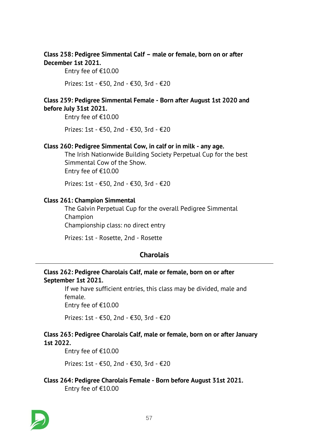# *Class 258: Pedigree Simmental Calf – male or female, born on or after December 1st 2021.*

*Entry fee of €10.00*

*Prizes: 1st - €50, 2nd - €30, 3rd - €20*

# *Class 259: Pedigree Simmental Female - Born after August 1st 2020 and before July 31st 2021.*

*Entry fee of €10.00*

*Prizes: 1st - €50, 2nd - €30, 3rd - €20*

#### *Class 260: Pedigree Simmental Cow, in calf or in milk - any age.*

*The Irish Nationwide Building Society Perpetual Cup for the best Simmental Cow of the Show. Entry fee of €10.00*

*Prizes: 1st - €50, 2nd - €30, 3rd - €20*

### *Class 261: Champion Simmental*

*The Galvin Perpetual Cup for the overall Pedigree Simmental Champion Championship class: no direct entry*

*Prizes: 1st - Rosette, 2nd - Rosette*

# *Charolais*

# *Class 262: Pedigree Charolais Calf, male or female, born on or after September 1st 2021.*

*If we have sufficient entries, this class may be divided, male and female.*

*Entry fee of €10.00*

*Prizes: 1st - €50, 2nd - €30, 3rd - €20*

# *Class 263: Pedigree Charolais Calf, male or female, born on or after January 1st 2022.*

*Entry fee of €10.00*

*Prizes: 1st - €50, 2nd - €30, 3rd - €20*

*Class 264: Pedigree Charolais Female - Born before August 31st 2021. Entry fee of €10.00*

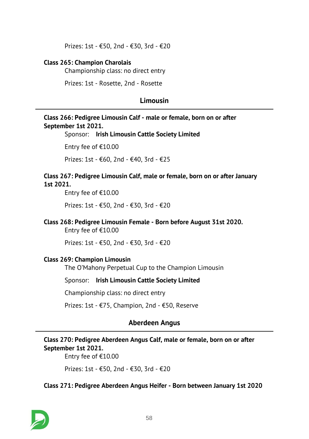*Prizes: 1st - €50, 2nd - €30, 3rd - €20*

#### *Class 265: Champion Charolais*

*Championship class: no direct entry*

*Prizes: 1st - Rosette, 2nd - Rosette*

# *Limousin*

# *Class 266: Pedigree Limousin Calf - male or female, born on or after September 1st 2021.*

*Sponsor: Irish Limousin Cattle Society Limited*

*Entry fee of €10.00*

*Prizes: 1st - €60, 2nd - €40, 3rd - €25*

#### *Class 267: Pedigree Limousin Calf, male or female, born on or after January 1st 2021.*

*Entry fee of €10.00*

*Prizes: 1st - €50, 2nd - €30, 3rd - €20*

#### *Class 268: Pedigree Limousin Female - Born before August 31st 2020.*

*Entry fee of €10.00*

*Prizes: 1st - €50, 2nd - €30, 3rd - €20*

#### *Class 269: Champion Limousin*

*The O'Mahony Perpetual Cup to the Champion Limousin*

*Sponsor: Irish Limousin Cattle Society Limited*

*Championship class: no direct entry*

*Prizes: 1st - €75, Champion, 2nd - €50, Reserve*

# *Aberdeen Angus*

# *Class 270: Pedigree Aberdeen Angus Calf, male or female, born on or after September 1st 2021.*

*Entry fee of €10.00*

*Prizes: 1st - €50, 2nd - €30, 3rd - €20*

#### *Class 271: Pedigree Aberdeen Angus Heifer - Born between January 1st 2020*

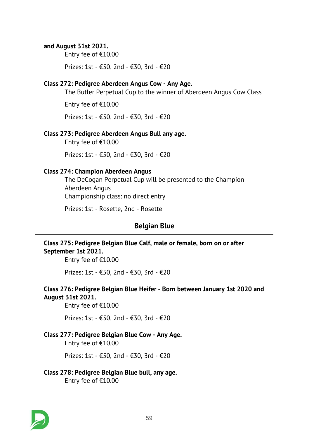### *and August 31st 2021.*

*Entry fee of €10.00*

*Prizes: 1st - €50, 2nd - €30, 3rd - €20*

#### *Class 272: Pedigree Aberdeen Angus Cow - Any Age.*

*The Butler Perpetual Cup to the winner of Aberdeen Angus Cow Class*

*Entry fee of €10.00*

*Prizes: 1st - €50, 2nd - €30, 3rd - €20*

#### *Class 273: Pedigree Aberdeen Angus Bull any age.*

*Entry fee of €10.00*

*Prizes: 1st - €50, 2nd - €30, 3rd - €20*

#### *Class 274: Champion Aberdeen Angus*

*The DeCogan Perpetual Cup will be presented to the Champion Aberdeen Angus Championship class: no direct entry*

*Prizes: 1st - Rosette, 2nd - Rosette*

# *Belgian Blue*

### *Class 275: Pedigree Belgian Blue Calf, male or female, born on or after September 1st 2021.*

*Entry fee of €10.00*

*Prizes: 1st - €50, 2nd - €30, 3rd - €20*

#### *Class 276: Pedigree Belgian Blue Heifer - Born between January 1st 2020 and August 31st 2021.*

*Entry fee of €10.00*

*Prizes: 1st - €50, 2nd - €30, 3rd - €20*

### *Class 277: Pedigree Belgian Blue Cow - Any Age.*

*Entry fee of €10.00*

*Prizes: 1st - €50, 2nd - €30, 3rd - €20*

#### *Class 278: Pedigree Belgian Blue bull, any age. Entry fee of €10.00*

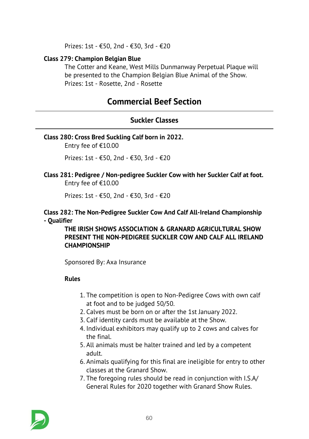*Prizes: 1st - €50, 2nd - €30, 3rd - €20*

# *Class 279: Champion Belgian Blue*

*The Cotter and Keane, West Mills Dunmanway Perpetual Plaque will be presented to the Champion Belgian Blue Animal of the Show. Prizes: 1st - Rosette, 2nd - Rosette*

# *Commercial Beef Section*

# *Suckler Classes*

#### *Class 280: Cross Bred Suckling Calf born in 2022.*

*Entry fee of €10.00*

*Prizes: 1st - €50, 2nd - €30, 3rd - €20*

*Class 281: Pedigree / Non-pedigree Suckler Cow with her Suckler Calf at foot. Entry fee of €10.00*

*Prizes: 1st - €50, 2nd - €30, 3rd - €20*

#### *Class 282: The Non-Pedigree Suckler Cow And Calf All-Ireland Championship - Qualifier*

*THE IRISH SHOWS ASSOCIATION & GRANARD AGRICULTURAL SHOW PRESENT THE NON-PEDIGREE SUCKLER COW AND CALF ALL IRELAND CHAMPIONSHIP*

*Sponsored By: Axa Insurance*

# *Rules*

- *1. The competition is open to Non-Pedigree Cows with own calf at foot and to be judged 50/50.*
- *2. Calves must be born on or after the 1st January 2022.*
- *3. Calf identity cards must be available at the Show.*
- *4. Individual exhibitors may qualify up to 2 cows and calves for the final.*
- *5. All animals must be halter trained and led by a competent adult.*
- *6. Animals qualifying for this final are ineligible for entry to other classes at the Granard Show.*
- *7. The foregoing rules should be read in conjunction with I.S.A/ General Rules for 2020 together with Granard Show Rules.*

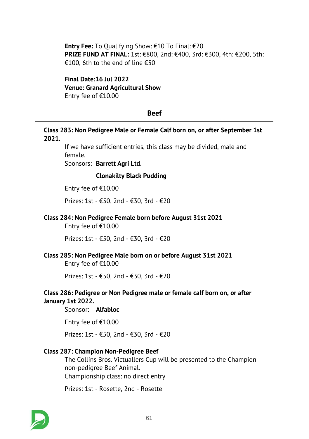*Entry Fee: To Qualifying Show: €10 To Final: €20 PRIZE FUND AT FINAL: 1st: €800, 2nd: €400, 3rd: €300, 4th: €200, 5th: €100, 6th to the end of line €50*

*Final Date:16 Jul 2022 Venue: Granard Agricultural Show Entry fee of €10.00*

#### *Beef*

#### *Class 283: Non Pedigree Male or Female Calf born on, or after September 1st 2021.*

*If we have sufficient entries, this class may be divided, male and female.*

*Sponsors: Barrett Agri Ltd.*

#### *Clonakilty Black Pudding*

*Entry fee of €10.00*

*Prizes: 1st - €50, 2nd - €30, 3rd - €20*

#### *Class 284: Non Pedigree Female born before August 31st 2021*

*Entry fee of €10.00*

*Prizes: 1st - €50, 2nd - €30, 3rd - €20*

#### *Class 285: Non Pedigree Male born on or before August 31st 2021*

*Entry fee of €10.00*

*Prizes: 1st - €50, 2nd - €30, 3rd - €20*

### *Class 286: Pedigree or Non Pedigree male or female calf born on, or after January 1st 2022.*

*Sponsor: Alfabloc*

*Entry fee of €10.00*

*Prizes: 1st - €50, 2nd - €30, 3rd - €20*

#### *Class 287: Champion Non-Pedigree Beef*

*The Collins Bros. Victuallers Cup will be presented to the Champion non-pedigree Beef Animal. Championship class: no direct entry*

*Prizes: 1st - Rosette, 2nd - Rosette*

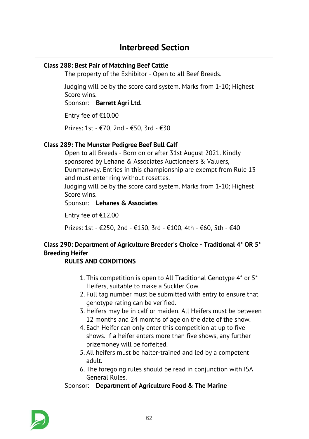# *Class 288: Best Pair of Matching Beef Cattle*

*The property of the Exhibitor - Open to all Beef Breeds.*

*Judging will be by the score card system. Marks from 1-10; Highest Score wins.*

*Sponsor: Barrett Agri Ltd.*

*Entry fee of €10.00*

*Prizes: 1st - €70, 2nd - €50, 3rd - €30*

# *Class 289: The Munster Pedigree Beef Bull Calf*

*Open to all Breeds - Born on or after 31st August 2021. Kindly sponsored by Lehane & Associates Auctioneers & Valuers, Dunmanway. Entries in this championship are exempt from Rule 13 and must enter ring without rosettes.*

*Judging will be by the score card system. Marks from 1-10; Highest Score wins.*

*Sponsor: Lehanes & Associates*

*Entry fee of €12.00*

*Prizes: 1st - €250, 2nd - €150, 3rd - €100, 4th - €60, 5th - €40*

# *Class 290: Department of Agriculture Breeder's Choice - Traditional 4\* OR 5\* Breeding Heifer*

# *RULES AND CONDITIONS*

- *1. This competition is open to All Traditional Genotype 4\* or 5\* Heifers, suitable to make a Suckler Cow.*
- *2. Full tag number must be submitted with entry to ensure that genotype rating can be verified.*
- *3. Heifers may be in calf or maiden. All Heifers must be between 12 months and 24 months of age on the date of the show.*
- *4. Each Heifer can only enter this competition at up to five shows. If a heifer enters more than five shows, any further prizemoney will be forfeited.*
- *5. All heifers must be halter-trained and led by a competent adult.*
- *6. The foregoing rules should be read in conjunction with ISA General Rules.*

# *Sponsor: Department of Agriculture Food & The Marine*

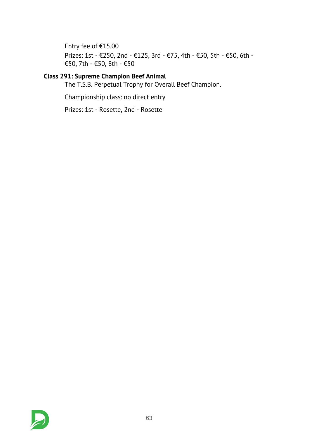*Entry fee of €15.00 Prizes: 1st - €250, 2nd - €125, 3rd - €75, 4th - €50, 5th - €50, 6th - €50, 7th - €50, 8th - €50*

# *Class 291: Supreme Champion Beef Animal*

*The T.S.B. Perpetual Trophy for Overall Beef Champion.*

*Championship class: no direct entry*

*Prizes: 1st - Rosette, 2nd - Rosette*

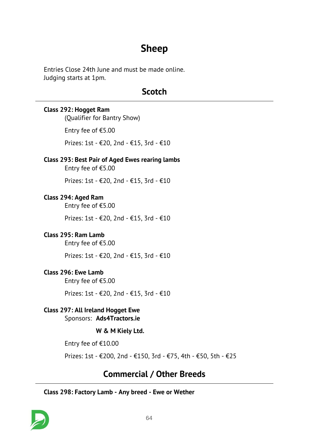# *Sheep*

*Entries Close 24th June and must be made online. Judging starts at 1pm.*

# *Scotch*

#### *Class 292: Hogget Ram*

*(Qualifier for Bantry Show)*

*Entry fee of €5.00*

*Prizes: 1st - €20, 2nd - €15, 3rd - €10*

### *Class 293: Best Pair of Aged Ewes rearing lambs*

*Entry fee of €5.00*

*Prizes: 1st - €20, 2nd - €15, 3rd - €10*

# *Class 294: Aged Ram*

*Entry fee of €5.00*

*Prizes: 1st - €20, 2nd - €15, 3rd - €10*

# *Class 295: Ram Lamb*

*Entry fee of €5.00*

*Prizes: 1st - €20, 2nd - €15, 3rd - €10*

# *Class 296: Ewe Lamb*

*Entry fee of €5.00*

*Prizes: 1st - €20, 2nd - €15, 3rd - €10*

# *Class 297: All Ireland Hogget Ewe*

*Sponsors: Ads4Tractors.ie*

# *W & M Kiely Ltd.*

*Entry fee of €10.00*

*Prizes: 1st - €200, 2nd - €150, 3rd - €75, 4th - €50, 5th - €25*

# *Commercial / Other Breeds*

# *Class 298: Factory Lamb - Any breed - Ewe or Wether*

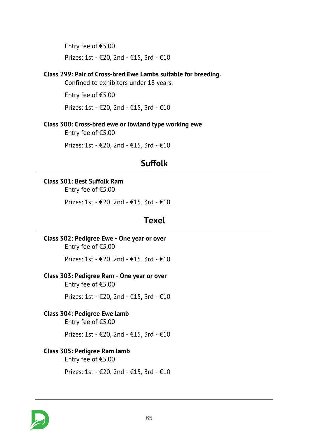*Entry fee of €5.00 Prizes: 1st - €20, 2nd - €15, 3rd - €10*

#### *Class 299: Pair of Cross-bred Ewe Lambs suitable for breeding.*

*Confined to exhibitors under 18 years.*

*Entry fee of €5.00*

*Prizes: 1st - €20, 2nd - €15, 3rd - €10*

### *Class 300: Cross-bred ewe or lowland type working ewe*

*Entry fee of €5.00*

*Prizes: 1st - €20, 2nd - €15, 3rd - €10*

# *Suffolk*

### *Class 301: Best Suffolk Ram*

*Entry fee of €5.00*

*Prizes: 1st - €20, 2nd - €15, 3rd - €10*

# *Texel*

*Class 302: Pedigree Ewe - One year or over Entry fee of €5.00*

*Prizes: 1st - €20, 2nd - €15, 3rd - €10*

# *Class 303: Pedigree Ram - One year or over*

*Entry fee of €5.00*

*Prizes: 1st - €20, 2nd - €15, 3rd - €10*

#### *Class 304: Pedigree Ewe lamb*

*Entry fee of €5.00*

*Prizes: 1st - €20, 2nd - €15, 3rd - €10*

### *Class 305: Pedigree Ram lamb*

*Entry fee of €5.00*

*Prizes: 1st - €20, 2nd - €15, 3rd - €10*

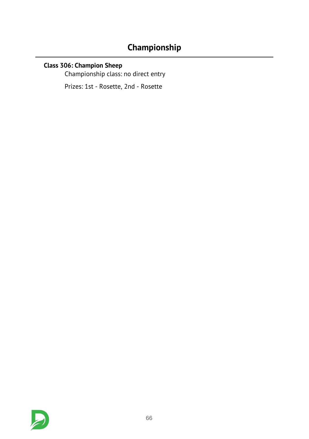# *Championship*

# *Class 306: Champion Sheep*

*Championship class: no direct entry*

*Prizes: 1st - Rosette, 2nd - Rosette*

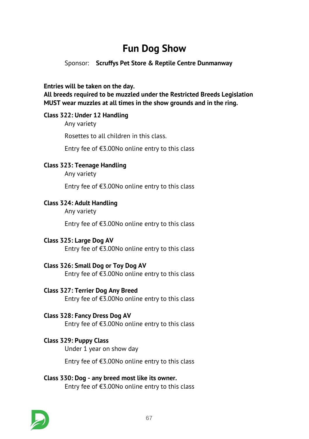# *Fun Dog Show*

### *Sponsor: Scruffys Pet Store & Reptile Centre Dunmanway*

*Entries will be taken on the day.*

*All breeds required to be muzzled under the Restricted Breeds Legislation MUST wear muzzles at all times in the show grounds and in the ring.*

### *Class 322: Under 12 Handling*

*Any variety*

*Rosettes to all children in this class.*

*Entry fee of €3.00No online entry to this class*

### *Class 323: Teenage Handling*

*Any variety*

*Entry fee of €3.00No online entry to this class*

### *Class 324: Adult Handling*

*Any variety*

*Entry fee of €3.00No online entry to this class*

#### *Class 325: Large Dog AV*

*Entry fee of €3.00No online entry to this class*

# *Class 326: Small Dog or Toy Dog AV*

*Entry fee of €3.00No online entry to this class*

#### *Class 327: Terrier Dog Any Breed*

*Entry fee of €3.00No online entry to this class*

# *Class 328: Fancy Dress Dog AV*

*Entry fee of €3.00No online entry to this class*

# *Class 329: Puppy Class*

*Under 1 year on show day*

*Entry fee of €3.00No online entry to this class*

### *Class 330: Dog - any breed most like its owner. Entry fee of €3.00No online entry to this class*

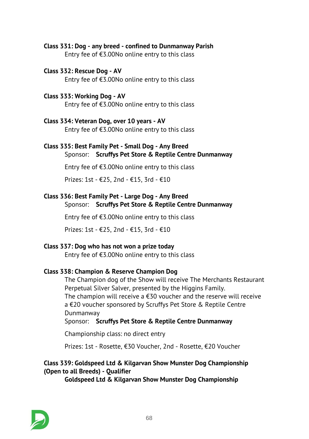- *Class 331: Dog any breed confined to Dunmanway Parish Entry fee of €3.00No online entry to this class*
- *Class 332: Rescue Dog AV Entry fee of €3.00No online entry to this class*
- *Class 333: Working Dog AV Entry fee of €3.00No online entry to this class*

*Class 334: Veteran Dog, over 10 years - AV Entry fee of €3.00No online entry to this class*

#### *Class 335: Best Family Pet - Small Dog - Any Breed Sponsor: Scruffys Pet Store & Reptile Centre Dunmanway*

*Entry fee of €3.00No online entry to this class*

*Prizes: 1st - €25, 2nd - €15, 3rd - €10*

#### *Class 336: Best Family Pet - Large Dog - Any Breed Sponsor: Scruffys Pet Store & Reptile Centre Dunmanway*

*Entry fee of €3.00No online entry to this class*

*Prizes: 1st - €25, 2nd - €15, 3rd - €10*

# *Class 337: Dog who has not won a prize today*

*Entry fee of €3.00No online entry to this class*

# *Class 338: Champion & Reserve Champion Dog*

*The Champion dog of the Show will receive The Merchants Restaurant Perpetual Silver Salver, presented by the Higgins Family. The champion will receive a €30 voucher and the reserve will receive a €20 voucher sponsored by Scruffys Pet Store & Reptile Centre Dunmanway*

*Sponsor: Scruffys Pet Store & Reptile Centre Dunmanway*

*Championship class: no direct entry*

*Prizes: 1st - Rosette, €30 Voucher, 2nd - Rosette, €20 Voucher*

# *Class 339: Goldspeed Ltd & Kilgarvan Show Munster Dog Championship (Open to all Breeds) - Qualifier*

*Goldspeed Ltd & Kilgarvan Show Munster Dog Championship*